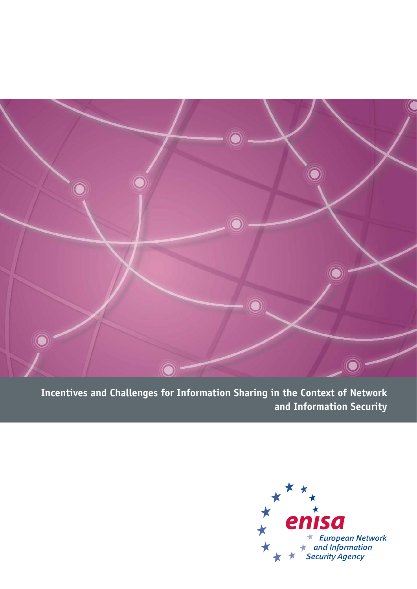

**Incentives and Challenges for Information Sharing in the Context of Network and Information Security**

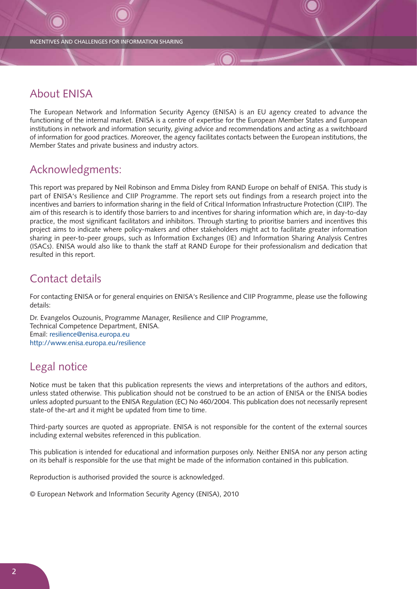## About ENISA

The European Network and Information Security Agency (ENISA) is an EU agency created to advance the functioning of the internal market. ENISA is a centre of expertise for the European Member States and European institutions in network and information security, giving advice and recommendations and acting as a switchboard of information for good practices. Moreover, the agency facilitates contacts between the European institutions, the Member States and private business and industry actors.

## Acknowledgments:

This report was prepared by Neil Robinson and Emma Disley from RAND Europe on behalf of ENISA. This study is part of ENISA's Resilience and CIIP Programme. The report sets out findings from a research project into the incentives and barriers to information sharing in the field of Critical Information Infrastructure Protection (CIIP). The aim of this research is to identify those barriers to and incentives for sharing information which are, in day-to-day practice, the most significant facilitators and inhibitors. Through starting to prioritise barriers and incentives this project aims to indicate where policy-makers and other stakeholders might act to facilitate greater information sharing in peer-to-peer groups, such as Information Exchanges (IE) and Information Sharing Analysis Centres (ISACs). ENISA would also like to thank the staff at RAND Europe for their professionalism and dedication that resulted in this report.

## Contact details

For contacting ENISA or for general enquiries on ENISA's Resilience and CIIP Programme, please use the following details:

Dr. Evangelos Ouzounis, Programme Manager, Resilience and CIIP Programme, Technical Competence Department, ENISA. Email: resilience@enisa.europa.eu http://www.enisa.europa.eu/resilience

# Legal notice

Notice must be taken that this publication represents the views and interpretations of the authors and editors, unless stated otherwise. This publication should not be construed to be an action of ENISA or the ENISA bodies unless adopted pursuant to the ENISA Regulation (EC) No 460/2004. This publication does not necessarily represent state-of the-art and it might be updated from time to time.

Third-party sources are quoted as appropriate. ENISA is not responsible for the content of the external sources including external websites referenced in this publication.

This publication is intended for educational and information purposes only. Neither ENISA nor any person acting on its behalf is responsible for the use that might be made of the information contained in this publication.

Reproduction is authorised provided the source is acknowledged.

© European Network and Information Security Agency (ENISA), 2010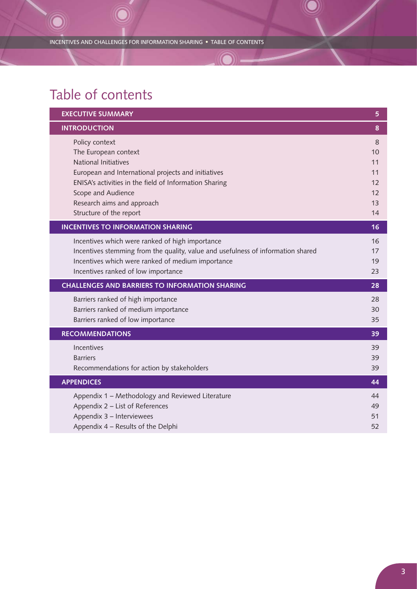INCENTIVES AND CHALLENGES FOR INFORMATION SHARING ● TABLE OF CONTENTS

# Table of contents

| <b>EXECUTIVE SUMMARY</b>                                                                                                                                                                                                                                       | 5                                           |
|----------------------------------------------------------------------------------------------------------------------------------------------------------------------------------------------------------------------------------------------------------------|---------------------------------------------|
| <b>INTRODUCTION</b>                                                                                                                                                                                                                                            | 8                                           |
| Policy context<br>The European context<br>National Initiatives<br>European and International projects and initiatives<br>ENISA's activities in the field of Information Sharing<br>Scope and Audience<br>Research aims and approach<br>Structure of the report | 8<br>10<br>11<br>11<br>12<br>12<br>13<br>14 |
| <b>INCENTIVES TO INFORMATION SHARING</b>                                                                                                                                                                                                                       | 16                                          |
| Incentives which were ranked of high importance<br>Incentives stemming from the quality, value and usefulness of information shared<br>Incentives which were ranked of medium importance<br>Incentives ranked of low importance                                | 16<br>17<br>19<br>23                        |
| <b>CHALLENGES AND BARRIERS TO INFORMATION SHARING</b>                                                                                                                                                                                                          | 28                                          |
| Barriers ranked of high importance<br>Barriers ranked of medium importance<br>Barriers ranked of low importance                                                                                                                                                | 28<br>30<br>35                              |
| <b>RECOMMENDATIONS</b>                                                                                                                                                                                                                                         | 39                                          |
| Incentives<br><b>Barriers</b><br>Recommendations for action by stakeholders                                                                                                                                                                                    | 39<br>39<br>39                              |
| <b>APPENDICES</b>                                                                                                                                                                                                                                              | 44                                          |
| Appendix 1 - Methodology and Reviewed Literature<br>Appendix 2 - List of References<br>Appendix 3 - Interviewees<br>Appendix 4 - Results of the Delphi                                                                                                         | 44<br>49<br>51<br>52                        |

K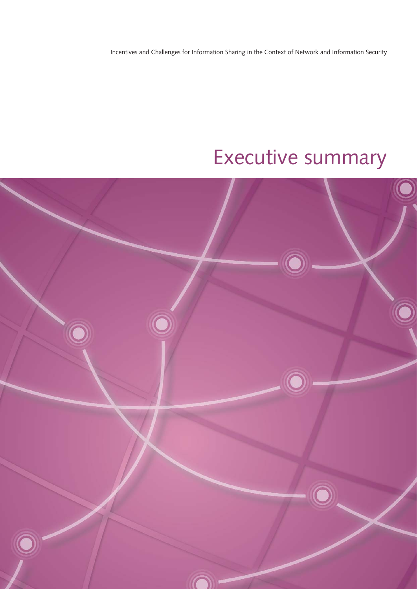Incentives and Challenges for Information Sharing in the Context of Network and Information Security

# Executive summary

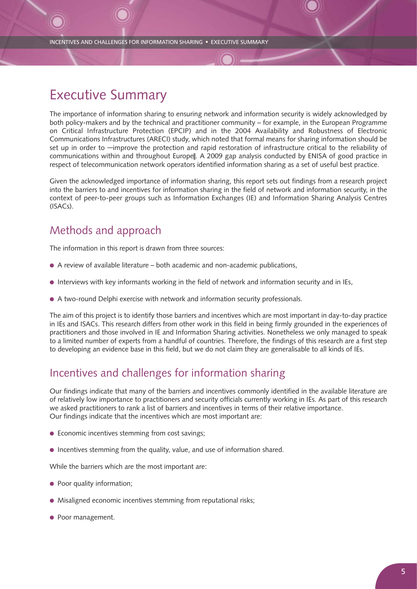INCENTIVES AND CHALLENGES FOR INFORMATION SHARING ● EXECUTIVE SUMMARY

# Executive Summary

The importance of information sharing to ensuring network and information security is widely acknowledged by both policy-makers and by the technical and practitioner community – for example, in the European Programme on Critical Infrastructure Protection (EPCIP) and in the 2004 Availability and Robustness of Electronic Communications Infrastructures (ARECI) study, which noted that formal means for sharing information should be set up in order to ―improve the protection and rapid restoration of infrastructure critical to the reliability of communications within and throughout Europe||. A 2009 gap analysis conducted by ENISA of good practice in respect of telecommunication network operators identified information sharing as a set of useful best practice.

Given the acknowledged importance of information sharing, this report sets out findings from a research project into the barriers to and incentives for information sharing in the field of network and information security, in the context of peer-to-peer groups such as Information Exchanges (IE) and Information Sharing Analysis Centres (ISACs).

## Methods and approach

The information in this report is drawn from three sources:

- A review of available literature both academic and non-academic publications,
- Interviews with key informants working in the field of network and information security and in IEs,
- A two-round Delphi exercise with network and information security professionals.

The aim of this project is to identify those barriers and incentives which are most important in day-to-day practice in IEs and ISACs. This research differs from other work in this field in being firmly grounded in the experiences of practitioners and those involved in IE and Information Sharing activities. Nonetheless we only managed to speak to a limited number of experts from a handful of countries. Therefore, the findings of this research are a first step to developing an evidence base in this field, but we do not claim they are generalisable to all kinds of IEs.

## Incentives and challenges for information sharing

Our findings indicate that many of the barriers and incentives commonly identified in the available literature are of relatively low importance to practitioners and security officials currently working in IEs. As part of this research we asked practitioners to rank a list of barriers and incentives in terms of their relative importance. Our findings indicate that the incentives which are most important are:

- Economic incentives stemming from cost savings;
- Incentives stemming from the quality, value, and use of information shared.

While the barriers which are the most important are:

- Poor quality information;
- Misaligned economic incentives stemming from reputational risks;
- Poor management.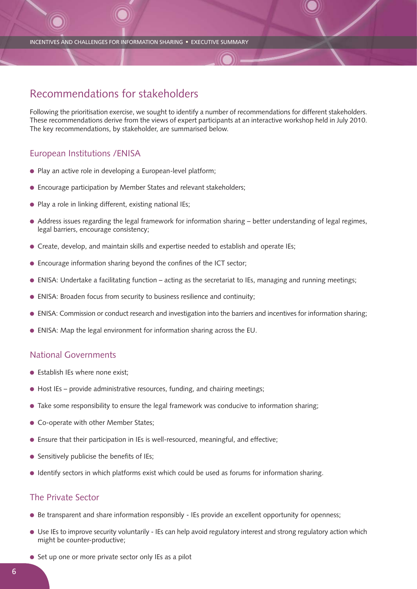INCENTIVES AND CHALLENGES FOR INFORMATION SHARING ● EXECUTIVE SUMMARY

## Recommendations for stakeholders

Following the prioritisation exercise, we sought to identify a number of recommendations for different stakeholders. These recommendations derive from the views of expert participants at an interactive workshop held in July 2010. The key recommendations, by stakeholder, are summarised below.

### European Institutions /ENISA

- Play an active role in developing a European-level platform;
- Encourage participation by Member States and relevant stakeholders;
- Play a role in linking different, existing national IEs;
- Address issues regarding the legal framework for information sharing better understanding of legal regimes, legal barriers, encourage consistency;
- Create, develop, and maintain skills and expertise needed to establish and operate IEs;
- Encourage information sharing beyond the confines of the ICT sector;
- ENISA: Undertake a facilitating function acting as the secretariat to IEs, managing and running meetings;
- ENISA: Broaden focus from security to business resilience and continuity;
- ENISA: Commission or conduct research and investigation into the barriers and incentives for information sharing;
- ENISA: Map the legal environment for information sharing across the EU.

### National Governments

- Establish IEs where none exist:
- Host IEs provide administrative resources, funding, and chairing meetings;
- Take some responsibility to ensure the legal framework was conducive to information sharing;
- Co-operate with other Member States;
- Ensure that their participation in IEs is well-resourced, meaningful, and effective;
- Sensitively publicise the benefits of IEs:
- Identify sectors in which platforms exist which could be used as forums for information sharing.

### The Private Sector

- Be transparent and share information responsibly IEs provide an excellent opportunity for openness;
- Use IEs to improve security voluntarily IEs can help avoid regulatory interest and strong regulatory action which might be counter-productive;
- Set up one or more private sector only IEs as a pilot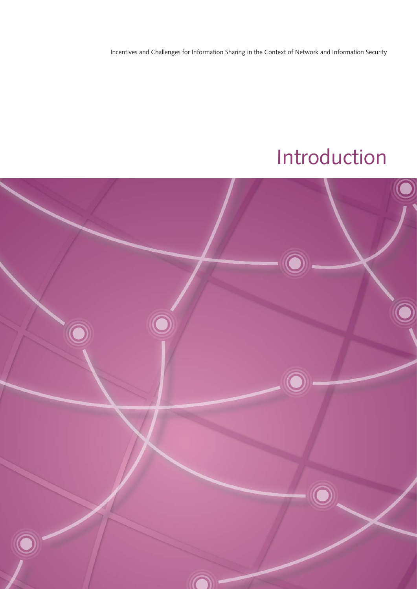Incentives and Challenges for Information Sharing in the Context of Network and Information Security

# Introduction

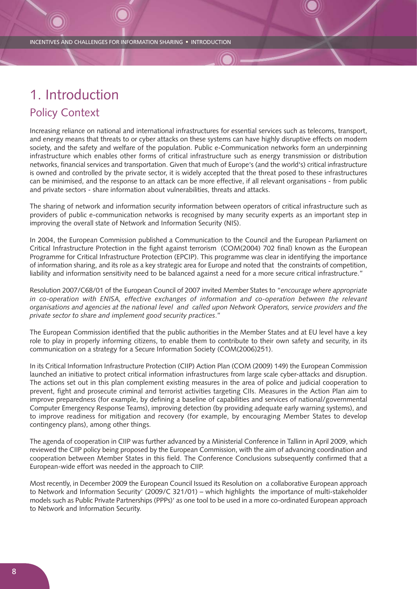# 1. Introduction Policy Context

Increasing reliance on national and international infrastructures for essential services such as telecoms, transport, and energy means that threats to or cyber attacks on these systems can have highly disruptive effects on modern society, and the safety and welfare of the population. Public e-Communication networks form an underpinning infrastructure which enables other forms of critical infrastructure such as energy transmission or distribution networks, financial services and transportation. Given that much of Europe's (and the world's) critical infrastructure is owned and controlled by the private sector, it is widely accepted that the threat posed to these infrastructures can be minimised, and the response to an attack can be more effective, if all relevant organisations - from public and private sectors - share information about vulnerabilities, threats and attacks.

The sharing of network and information security information between operators of critical infrastructure such as providers of public e-communication networks is recognised by many security experts as an important step in improving the overall state of Network and Information Security (NIS).

In 2004, the European Commission published a Communication to the Council and the European Parliament on Critical Infrastructure Protection in the fight against terrorism (COM(2004) 702 final) known as the European Programme for Critical Infrastructure Protection (EPCIP). This programme was clear in identifying the importance of information sharing, and its role as a key strategic area for Europe and noted that the constraints of competition, liability and information sensitivity need to be balanced against a need for a more secure critical infrastructure."

Resolution 2007/C68/01 of the European Council of 2007 invited Member States to "*encourage where appropriate in co-operation with ENISA, effective exchanges of information and co-operation between the relevant organisations and agencies at the national level and called upon Network Operators, service providers and the private sector to share and implement good security practices*."

The European Commission identified that the public authorities in the Member States and at EU level have a key role to play in properly informing citizens, to enable them to contribute to their own safety and security, in its communication on a strategy for a Secure Information Society (COM(2006)251).

In its Critical Information Infrastructure Protection (CIIP) Action Plan (COM (2009) 149) the European Commission launched an initiative to protect critical information infrastructures from large scale cyber-attacks and disruption. The actions set out in this plan complement existing measures in the area of police and judicial cooperation to prevent, fight and prosecute criminal and terrorist activities targeting CIIs. Measures in the Action Plan aim to improve preparedness (for example, by defining a baseline of capabilities and services of national/governmental Computer Emergency Response Teams), improving detection (by providing adequate early warning systems), and to improve readiness for mitigation and recovery (for example, by encouraging Member States to develop contingency plans), among other things.

The agenda of cooperation in CIIP was further advanced by a Ministerial Conference in Tallinn in April 2009, which reviewed the CIIP policy being proposed by the European Commission, with the aim of advancing coordination and cooperation between Member States in this field. The Conference Conclusions subsequently confirmed that a European-wide effort was needed in the approach to CIIP.

Most recently, in December 2009 the European Council Issued its Resolution on a collaborative European approach to Network and Information Security' (2009/C 321/01) – which highlights the importance of multi-stakeholder models such as Public Private Partnerships (PPPs)' as one tool to be used in a more co-ordinated European approach to Network and Information Security.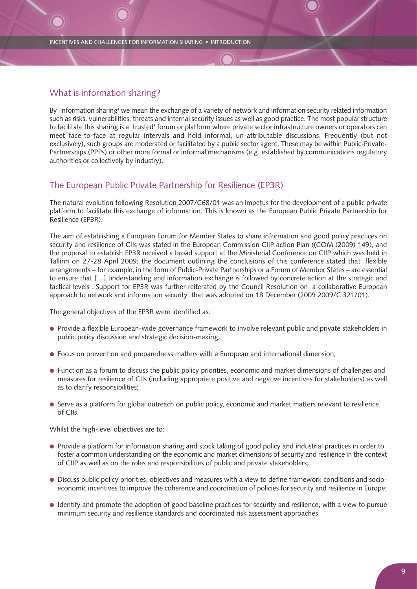### What is information sharing?

By information sharing' we mean the exchange of a variety of network and information security related information such as risks, vulnerabilities, threats and internal security issues as well as good practice. The most popular structure to facilitate this sharing is a trusted' forum or platform where private sector infrastructure owners or operators can meet face-to-face at regular intervals and hold informal, un-attributable discussions. Frequently (but not exclusively), such groups are moderated or facilitated by a public sector agent. These may be within Public-Private-Partnerships (PPPs) or other more formal or informal mechanisms (e.g. established by communications regulatory authorities or collectively by industry).

### The European Public Private Partnership for Resilience (EP3R)

The natural evolution following Resolution 2007/C68/01 was an impetus for the development of a public private platform to facilitate this exchange of information. This is known as the European Public Private Partnership for Resilience (EP3R).

The aim of establishing a European Forum for Member States to share information and good policy practices on security and resilience of CIIs was stated in the European Commission CIIP action Plan ((COM (2009) 149), and the proposal to establish EP3R received a broad support at the Ministerial Conference on CIIP which was held in Tallinn on 27-28 April 2009; the document outlining the conclusions of this conference stated that flexible arrangements – for example, in the form of Public-Private Partnerships or a Forum of Member States – are essential to ensure that […] understanding and information exchange is followed by concrete action at the strategic and tactical levels . Support for EP3R was further reiterated by the Council Resolution on a collaborative European approach to network and information security that was adopted on 18 December (2009 2009/C 321/01).

The general objectives of the EP3R were identified as:

- Provide a flexible European-wide governance framework to involve relevant public and private stakeholders in public policy discussion and strategic decision-making;
- Focus on prevention and preparedness matters with a European and international dimension;
- Function as a forum to discuss the public policy priorities, economic and market dimensions of challenges and measures for resilience of CIIs (including appropriate positive and negative incentives for stakeholders) as well as to clarify responsibilities;
- Serve as a platform for global outreach on public policy, economic and market matters relevant to resilience of CIIs.

Whilst the high-level objectives are to:

- Provide a platform for information sharing and stock taking of good policy and industrial practices in order to foster a common understanding on the economic and market dimensions of security and resilience in the context of CIIP as well as on the roles and responsibilities of public and private stakeholders;
- Discuss public policy priorities, objectives and measures with a view to define framework conditions and socioeconomic incentives to improve the coherence and coordination of policies for security and resilience in Europe;
- Identify and promote the adoption of good baseline practices for security and resilience, with a view to pursue minimum security and resilience standards and coordinated risk assessment approaches.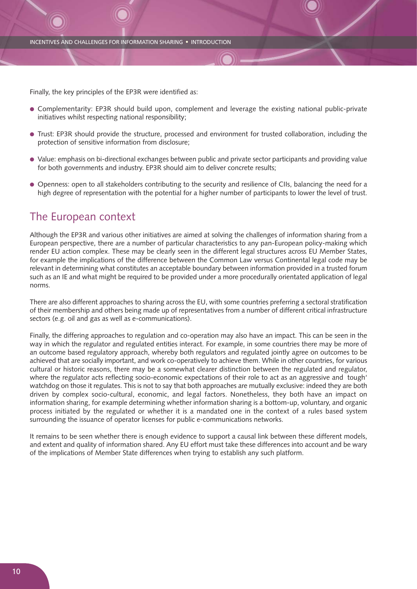Finally, the key principles of the EP3R were identified as:

- Complementarity: EP3R should build upon, complement and leverage the existing national public-private initiatives whilst respecting national responsibility;
- Trust: EP3R should provide the structure, processed and environment for trusted collaboration, including the protection of sensitive information from disclosure;
- Value: emphasis on bi-directional exchanges between public and private sector participants and providing value for both governments and industry. EP3R should aim to deliver concrete results;
- Openness: open to all stakeholders contributing to the security and resilience of CIIs, balancing the need for a high degree of representation with the potential for a higher number of participants to lower the level of trust.

## The European context

Although the EP3R and various other initiatives are aimed at solving the challenges of information sharing from a European perspective, there are a number of particular characteristics to any pan-European policy-making which render EU action complex. These may be clearly seen in the different legal structures across EU Member States, for example the implications of the difference between the Common Law versus Continental legal code may be relevant in determining what constitutes an acceptable boundary between information provided in a trusted forum such as an IE and what might be required to be provided under a more procedurally orientated application of legal norms.

There are also different approaches to sharing across the EU, with some countries preferring a sectoral stratification of their membership and others being made up of representatives from a number of different critical infrastructure sectors (e.g. oil and gas as well as e-communications).

Finally, the differing approaches to regulation and co-operation may also have an impact. This can be seen in the way in which the regulator and regulated entities interact. For example, in some countries there may be more of an outcome based regulatory approach, whereby both regulators and regulated jointly agree on outcomes to be achieved that are socially important, and work co-operatively to achieve them. While in other countries, for various cultural or historic reasons, there may be a somewhat clearer distinction between the regulated and regulator, where the regulator acts reflecting socio-economic expectations of their role to act as an aggressive and tough' watchdog on those it regulates. This is not to say that both approaches are mutually exclusive: indeed they are both driven by complex socio-cultural, economic, and legal factors. Nonetheless, they both have an impact on information sharing, for example determining whether information sharing is a bottom-up, voluntary, and organic process initiated by the regulated or whether it is a mandated one in the context of a rules based system surrounding the issuance of operator licenses for public e-communications networks.

It remains to be seen whether there is enough evidence to support a causal link between these different models, and extent and quality of information shared. Any EU effort must take these differences into account and be wary of the implications of Member State differences when trying to establish any such platform.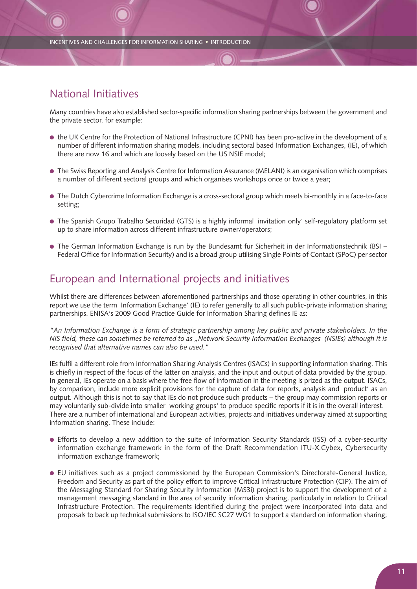# National Initiatives

Many countries have also established sector-specific information sharing partnerships between the government and the private sector, for example:

- the UK Centre for the Protection of National Infrastructure (CPNI) has been pro-active in the development of a number of different information sharing models, including sectoral based Information Exchanges, (IE), of which there are now 16 and which are loosely based on the US NSIE model;
- The Swiss Reporting and Analysis Centre for Information Assurance (MELANI) is an organisation which comprises a number of different sectoral groups and which organises workshops once or twice a year;
- The Dutch Cybercrime Information Exchange is a cross-sectoral group which meets bi-monthly in a face-to-face setting;
- The Spanish Grupo Trabalho Securidad (GTS) is a highly informal invitation only' self-regulatory platform set up to share information across different infrastructure owner/operators;
- The German Information Exchange is run by the Bundesamt fur Sicherheit in der Informationstechnik (BSI Federal Office for Information Security) and is a broad group utilising Single Points of Contact (SPoC) per sector

## European and International projects and initiatives

Whilst there are differences between aforementioned partnerships and those operating in other countries, in this report we use the term Information Exchange' (IE) to refer generally to all such public-private information sharing partnerships. ENISA's 2009 Good Practice Guide for Information Sharing defines IE as:

*"An Information Exchange is a form of strategic partnership among key public and private stakeholders. In the NIS field, these can sometimes be referred to as "Network Security Information Exchanges (NSIEs) although it is recognised that alternative names can also be used."*

IEs fulfil a different role from Information Sharing Analysis Centres (ISACs) in supporting information sharing. This is chiefly in respect of the focus of the latter on analysis, and the input and output of data provided by the group. In general, IEs operate on a basis where the free flow of information in the meeting is prized as the output. ISACs, by comparison, include more explicit provisions for the capture of data for reports, analysis and product' as an output. Although this is not to say that IEs do not produce such products – the group may commission reports or may voluntarily sub-divide into smaller working groups' to produce specific reports if it is in the overall interest. There are a number of international and European activities, projects and initiatives underway aimed at supporting information sharing. These include:

- Efforts to develop a new addition to the suite of Information Security Standards (ISS) of a cyber-security information exchange framework in the form of the Draft Recommendation ITU-X.Cybex, Cybersecurity information exchange framework;
- EU initiatives such as a project commissioned by the European Commission's Directorate-General Justice, Freedom and Security as part of the policy effort to improve Critical Infrastructure Protection (CIP). The aim of the Messaging Standard for Sharing Security Information (MS3i) project is to support the development of a management messaging standard in the area of security information sharing, particularly in relation to Critical Infrastructure Protection. The requirements identified during the project were incorporated into data and proposals to back up technical submissions to ISO/IEC SC27 WG1 to support a standard on information sharing;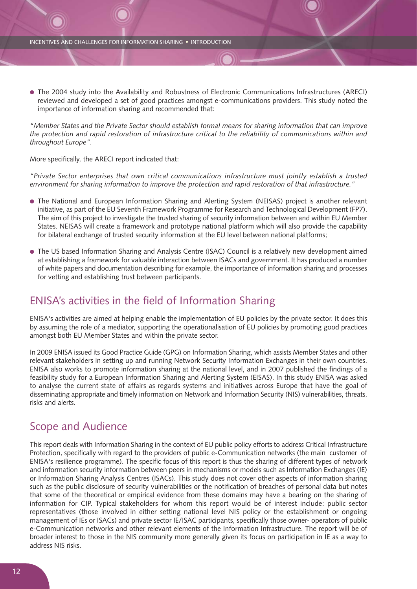● The 2004 study into the Availability and Robustness of Electronic Communications Infrastructures (ARECI) reviewed and developed a set of good practices amongst e-communications providers. This study noted the importance of information sharing and recommended that:

*"Member States and the Private Sector should establish formal means for sharing information that can improve the protection and rapid restoration of infrastructure critical to the reliability of communications within and throughout Europe".*

More specifically, the ARECI report indicated that:

*"Private Sector enterprises that own critical communications infrastructure must jointly establish a trusted environment for sharing information to improve the protection and rapid restoration of that infrastructure."*

- The National and European Information Sharing and Alerting System (NEISAS) project is another relevant initiative, as part of the EU Seventh Framework Programme for Research and Technological Development (FP7). The aim of this project to investigate the trusted sharing of security information between and within EU Member States. NEISAS will create a framework and prototype national platform which will also provide the capability for bilateral exchange of trusted security information at the EU level between national platforms;
- The US based Information Sharing and Analysis Centre (ISAC) Council is a relatively new development aimed at establishing a framework for valuable interaction between ISACs and government. It has produced a number of white papers and documentation describing for example, the importance of information sharing and processes for vetting and establishing trust between participants.

## ENISA's activities in the field of Information Sharing

ENISA's activities are aimed at helping enable the implementation of EU policies by the private sector. It does this by assuming the role of a mediator, supporting the operationalisation of EU policies by promoting good practices amongst both EU Member States and within the private sector.

In 2009 ENISA issued its Good Practice Guide (GPG) on Information Sharing, which assists Member States and other relevant stakeholders in setting up and running Network Security Information Exchanges in their own countries. ENISA also works to promote information sharing at the national level, and in 2007 published the findings of a feasibility study for a European Information Sharing and Alerting System (EISAS). In this study ENISA was asked to analyse the current state of affairs as regards systems and initiatives across Europe that have the goal of disseminating appropriate and timely information on Network and Information Security (NIS) vulnerabilities, threats, risks and alerts.

## Scope and Audience

This report deals with Information Sharing in the context of EU public policy efforts to address Critical Infrastructure Protection, specifically with regard to the providers of public e-Communication networks (the main customer of ENISA's resilience programme). The specific focus of this report is thus the sharing of different types of network and information security information between peers in mechanisms or models such as Information Exchanges (IE) or Information Sharing Analysis Centres (ISACs). This study does not cover other aspects of information sharing such as the public disclosure of security vulnerabilities or the notification of breaches of personal data but notes that some of the theoretical or empirical evidence from these domains may have a bearing on the sharing of information for CIP. Typical stakeholders for whom this report would be of interest include: public sector representatives (those involved in either setting national level NIS policy or the establishment or ongoing management of IEs or ISACs) and private sector IE/ISAC participants, specifically those owner- operators of public e-Communication networks and other relevant elements of the Information Infrastructure. The report will be of broader interest to those in the NIS community more generally given its focus on participation in IE as a way to address NIS risks.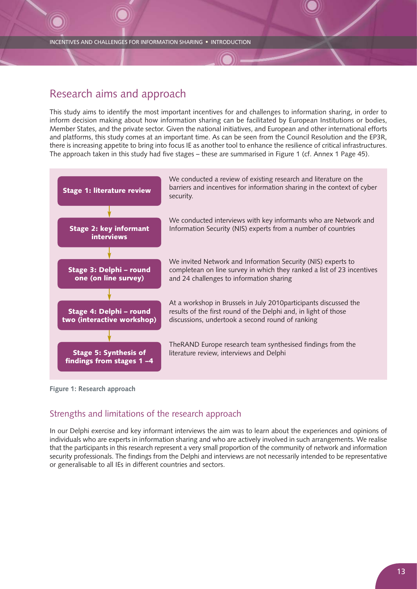## Research aims and approach

This study aims to identify the most important incentives for and challenges to information sharing, in order to inform decision making about how information sharing can be facilitated by European Institutions or bodies, Member States, and the private sector. Given the national initiatives, and European and other international efforts and platforms, this study comes at an important time. As can be seen from the Council Resolution and the EP3R, there is increasing appetite to bring into focus IE as another tool to enhance the resilience of critical infrastructures. The approach taken in this study had five stages – these are summarised in Figure 1 (cf. Annex 1 Page 45).



**Figure 1: Research approach**

## Strengths and limitations of the research approach

In our Delphi exercise and key informant interviews the aim was to learn about the experiences and opinions of individuals who are experts in information sharing and who are actively involved in such arrangements. We realise that the participants in this research represent a very small proportion of the community of network and information security professionals. The findings from the Delphi and interviews are not necessarily intended to be representative or generalisable to all IEs in different countries and sectors.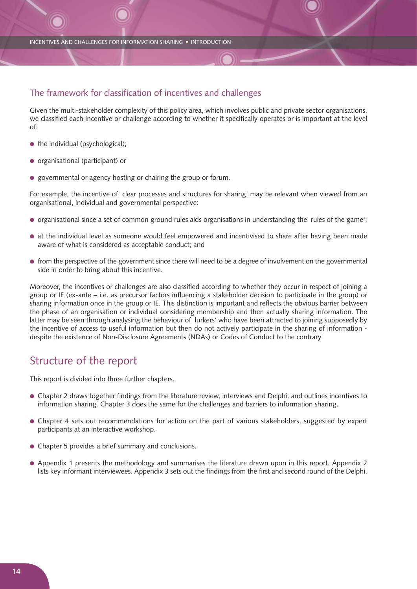### The framework for classification of incentives and challenges

Given the multi-stakeholder complexity of this policy area, which involves public and private sector organisations, we classified each incentive or challenge according to whether it specifically operates or is important at the level of:

- $\bullet$  the individual (psychological);
- organisational (participant) or
- governmental or agency hosting or chairing the group or forum.

For example, the incentive of clear processes and structures for sharing' may be relevant when viewed from an organisational, individual and governmental perspective:

- organisational since a set of common ground rules aids organisations in understanding the rules of the game';
- at the individual level as someone would feel empowered and incentivised to share after having been made aware of what is considered as acceptable conduct; and
- from the perspective of the government since there will need to be a degree of involvement on the governmental side in order to bring about this incentive.

Moreover, the incentives or challenges are also classified according to whether they occur in respect of joining a group or IE (ex-ante – i.e. as precursor factors influencing a stakeholder decision to participate in the group) or sharing information once in the group or IE. This distinction is important and reflects the obvious barrier between the phase of an organisation or individual considering membership and then actually sharing information. The latter may be seen through analysing the behaviour of lurkers' who have been attracted to joining supposedly by the incentive of access to useful information but then do not actively participate in the sharing of information despite the existence of Non-Disclosure Agreements (NDAs) or Codes of Conduct to the contrary

## Structure of the report

This report is divided into three further chapters.

- Chapter 2 draws together findings from the literature review, interviews and Delphi, and outlines incentives to information sharing. Chapter 3 does the same for the challenges and barriers to information sharing.
- Chapter 4 sets out recommendations for action on the part of various stakeholders, suggested by expert participants at an interactive workshop.
- Chapter 5 provides a brief summary and conclusions.
- Appendix 1 presents the methodology and summarises the literature drawn upon in this report. Appendix 2 lists key informant interviewees. Appendix 3 sets out the findings from the first and second round of the Delphi.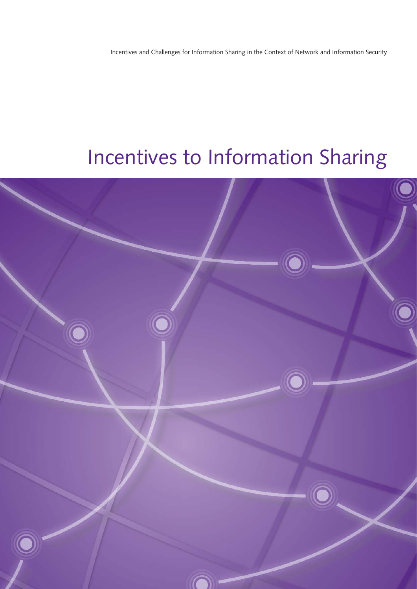Incentives and Challenges for Information Sharing in the Context of Network and Information Security

# Incentives to Information Sharing

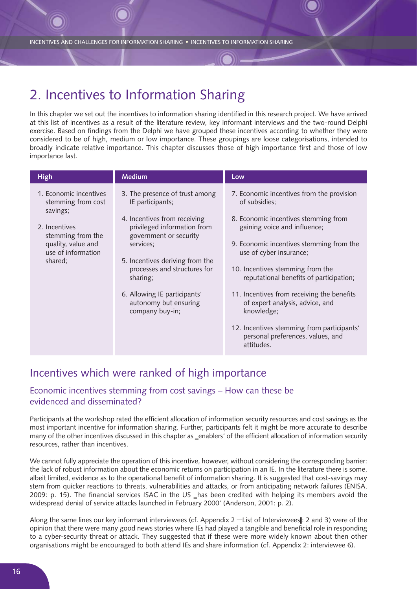# 2. Incentives to Information Sharing

In this chapter we set out the incentives to information sharing identified in this research project. We have arrived at this list of incentives as a result of the literature review, key informant interviews and the two-round Delphi exercise. Based on findings from the Delphi we have grouped these incentives according to whether they were considered to be of high, medium or low importance. These groupings are loose categorisations, intended to broadly indicate relative importance. This chapter discusses those of high importance first and those of low importance last.

| <b>High</b>                                                                                                                                           | <b>Medium</b>                                                                                                                                                                                                                                                                                                       | Low                                                                                                                                                                                                                                                                                                                                                                                                                                                                                      |
|-------------------------------------------------------------------------------------------------------------------------------------------------------|---------------------------------------------------------------------------------------------------------------------------------------------------------------------------------------------------------------------------------------------------------------------------------------------------------------------|------------------------------------------------------------------------------------------------------------------------------------------------------------------------------------------------------------------------------------------------------------------------------------------------------------------------------------------------------------------------------------------------------------------------------------------------------------------------------------------|
| 1. Economic incentives<br>stemming from cost<br>savings;<br>2. Incentives<br>stemming from the<br>quality, value and<br>use of information<br>shared; | 3. The presence of trust among<br>IE participants;<br>4. Incentives from receiving<br>privileged information from<br>government or security<br>services;<br>5. Incentives deriving from the<br>processes and structures for<br>sharing;<br>6. Allowing IE participants'<br>autonomy but ensuring<br>company buy-in; | 7. Economic incentives from the provision<br>of subsidies;<br>8. Economic incentives stemming from<br>gaining voice and influence;<br>9. Economic incentives stemming from the<br>use of cyber insurance;<br>10. Incentives stemming from the<br>reputational benefits of participation;<br>11. Incentives from receiving the benefits<br>of expert analysis, advice, and<br>knowledge;<br>12. Incentives stemming from participants'<br>personal preferences, values, and<br>attitudes. |
|                                                                                                                                                       |                                                                                                                                                                                                                                                                                                                     |                                                                                                                                                                                                                                                                                                                                                                                                                                                                                          |

## Incentives which were ranked of high importance

## Economic incentives stemming from cost savings – How can these be evidenced and disseminated?

Participants at the workshop rated the efficient allocation of information security resources and cost savings as the most important incentive for information sharing. Further, participants felt it might be more accurate to describe many of the other incentives discussed in this chapter as \_enablers' of the efficient allocation of information security resources, rather than incentives.

We cannot fully appreciate the operation of this incentive, however, without considering the corresponding barrier: the lack of robust information about the economic returns on participation in an IE. In the literature there is some, albeit limited, evidence as to the operational benefit of information sharing. It is suggested that cost-savings may stem from quicker reactions to threats, vulnerabilities and attacks, or from anticipating network failures (ENISA, 2009: p. 15). The financial services ISAC in the US \_has been credited with helping its members avoid the widespread denial of service attacks launched in February 2000' (Anderson, 2001: p. 2).

Along the same lines our key informant interviewees (cf. Appendix 2 ―List of Intervieweesǁ: 2 and 3) were of the opinion that there were many good news stories where IEs had played a tangible and beneficial role in responding to a cyber-security threat or attack. They suggested that if these were more widely known about then other organisations might be encouraged to both attend IEs and share information (cf. Appendix 2: interviewee 6).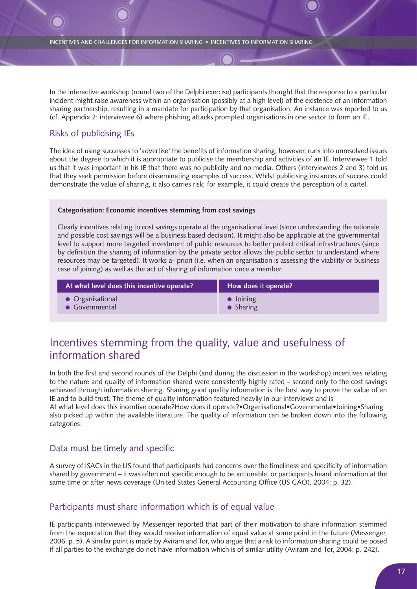In the interactive workshop (round two of the Delphi exercise) participants thought that the response to a particular incident might raise awareness within an organisation (possibly at a high level) of the existence of an information sharing partnership, resulting in a mandate for participation by that organisation. An instance was reported to us (cf. Appendix 2: interviewee 6) where phishing attacks prompted organisations in one sector to form an IE.

## Risks of publicising IEs

The idea of using successes to 'advertise' the benefits of information sharing, however, runs into unresolved issues about the degree to which it is appropriate to publicise the membership and activities of an IE. Interviewee 1 told us that it was important in his IE that there was no publicity and no media. Others (interviewees 2 and 3) told us that they seek permission before disseminating examples of success. Whilst publicising instances of success could demonstrate the value of sharing, it also carries risk; for example, it could create the perception of a cartel.

### **Categorisation: Economic incentives stemming from cost savings**

Clearly incentives relating to cost savings operate at the organisational level (since understanding the rationale and possible cost savings will be a business based decision). It might also be applicable at the governmental level to support more targeted investment of public resources to better protect critical infrastructures (since by definition the sharing of information by the private sector allows the public sector to understand where resources may be targeted). It works a- priori (i.e. when an organisation is assessing the viability or business case of joining) as well as the act of sharing of information once a member.

| At what level does this incentive operate? | How does it operate? |
|--------------------------------------------|----------------------|
| • Organisational                           | $\bullet$ Joining    |
| • Governmental                             | $\bullet$ Sharing    |

# Incentives stemming from the quality, value and usefulness of information shared

In both the first and second rounds of the Delphi (and during the discussion in the workshop) incentives relating to the nature and quality of information shared were consistently highly rated – second only to the cost savings achieved through information sharing. Sharing good quality information is the best way to prove the value of an IE and to build trust. The theme of quality information featured heavily in our interviews and is At what level does this incentive operate?How does it operate?•Organisational•Governmental•Joining•Sharing

also picked up within the available literature. The quality of information can be broken down into the following categories.

## Data must be timely and specific

A survey of ISACs in the US found that participants had concerns over the timeliness and specificity of information shared by government – it was often not specific enough to be actionable, or participants heard information at the same time or after news coverage (United States General Accounting Office (US GAO), 2004: p. 32).

## Participants must share information which is of equal value

IE participants interviewed by Messenger reported that part of their motivation to share information stemmed from the expectation that they would receive information of equal value at some point in the future (Messenger, 2006: p. 5). A similar point is made by Aviram and Tor, who argue that a risk to information sharing could be posed if all parties to the exchange do not have information which is of similar utility (Aviram and Tor, 2004: p. 242).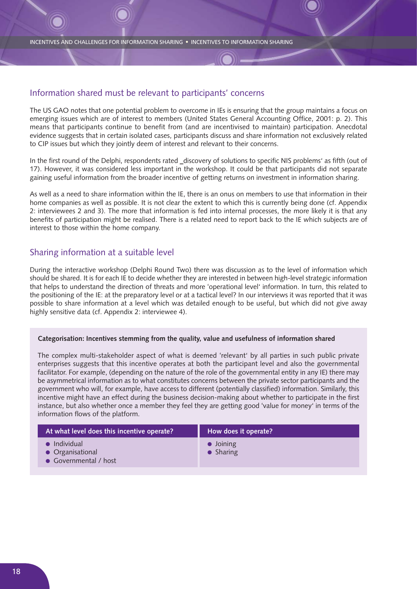### Information shared must be relevant to participants' concerns

The US GAO notes that one potential problem to overcome in IEs is ensuring that the group maintains a focus on emerging issues which are of interest to members (United States General Accounting Office, 2001: p. 2). This means that participants continue to benefit from (and are incentivised to maintain) participation. Anecdotal evidence suggests that in certain isolated cases, participants discuss and share information not exclusively related to CIP issues but which they jointly deem of interest and relevant to their concerns.

In the first round of the Delphi, respondents rated \_discovery of solutions to specific NIS problems' as fifth (out of 17). However, it was considered less important in the workshop. It could be that participants did not separate gaining useful information from the broader incentive of getting returns on investment in information sharing.

As well as a need to share information within the IE, there is an onus on members to use that information in their home companies as well as possible. It is not clear the extent to which this is currently being done (cf. Appendix 2: interviewees 2 and 3). The more that information is fed into internal processes, the more likely it is that any benefits of participation might be realised. There is a related need to report back to the IE which subjects are of interest to those within the home company.

### Sharing information at a suitable level

During the interactive workshop (Delphi Round Two) there was discussion as to the level of information which should be shared. It is for each IE to decide whether they are interested in between high-level strategic information that helps to understand the direction of threats and more 'operational level' information. In turn, this related to the positioning of the IE: at the preparatory level or at a tactical level? In our interviews it was reported that it was possible to share information at a level which was detailed enough to be useful, but which did not give away highly sensitive data (cf. Appendix 2: interviewee 4).

### **Categorisation: Incentives stemming from the quality, value and usefulness of information shared**

The complex multi-stakeholder aspect of what is deemed 'relevant' by all parties in such public private enterprises suggests that this incentive operates at both the participant level and also the governmental facilitator. For example, (depending on the nature of the role of the governmental entity in any IE) there may be asymmetrical information as to what constitutes concerns between the private sector participants and the government who will, for example, have access to different (potentially classified) information. Similarly, this incentive might have an effect during the business decision-making about whether to participate in the first instance, but also whether once a member they feel they are getting good 'value for money' in terms of the information flows of the platform.

| At what level does this incentive operate?                        | How does it operate?                   |
|-------------------------------------------------------------------|----------------------------------------|
| $\bullet$ Individual<br>• Organisational<br>• Governmental / host | $\bullet$ Joining<br>$\bullet$ Sharing |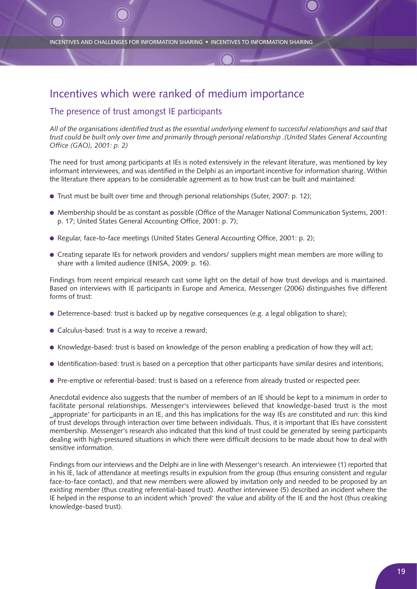## Incentives which were ranked of medium importance

### The presence of trust amongst IE participants

*All of the organisations identified trust as the essential underlying element to successful relationships and said that trust could be built only over time and primarily through personal relationship .(United States General Accounting Office (GAO), 2001: p. 2)*

The need for trust among participants at IEs is noted extensively in the relevant literature, was mentioned by key informant interviewees, and was identified in the Delphi as an important incentive for information sharing. Within the literature there appears to be considerable agreement as to how trust can be built and maintained:

- Trust must be built over time and through personal relationships (Suter, 2007: p. 12);
- Membership should be as constant as possible (Office of the Manager National Communication Systems, 2001: p. 17; United States General Accounting Office, 2001: p. 7);
- Regular, face-to-face meetings (United States General Accounting Office, 2001: p. 2);
- Creating separate IEs for network providers and vendors/ suppliers might mean members are more willing to share with a limited audience (ENISA, 2009: p. 16).

Findings from recent empirical research cast some light on the detail of how trust develops and is maintained. Based on interviews with IE participants in Europe and America, Messenger (2006) distinguishes five different forms of trust:

- Deterrence-based: trust is backed up by negative consequences (e.g. a legal obligation to share);
- Calculus-based: trust is a way to receive a reward;
- Knowledge-based: trust is based on knowledge of the person enabling a predication of how they will act;
- Identification-based: trust is based on a perception that other participants have similar desires and intentions;
- Pre-emptive or referential-based: trust is based on a reference from already trusted or respected peer.

Anecdotal evidence also suggests that the number of members of an IE should be kept to a minimum in order to facilitate personal relationships. Messenger's interviewees believed that knowledge-based trust is the most ‗appropriate' for participants in an IE, and this has implications for the way IEs are constituted and run: this kind of trust develops through interaction over time between individuals. Thus, it is important that IEs have consistent membership. Messenger's research also indicated that this kind of trust could be generated by seeing participants dealing with high-pressured situations in which there were difficult decisions to be made about how to deal with sensitive information.

Findings from our interviews and the Delphi are in line with Messenger's research. An interviewee (1) reported that in his IE, lack of attendance at meetings results in expulsion from the group (thus ensuring consistent and regular face-to-face contact), and that new members were allowed by invitation only and needed to be proposed by an existing member (thus creating referential-based trust). Another interviewee (5) described an incident where the IE helped in the response to an incident which 'proved' the value and ability of the IE and the host (thus creaking knowledge-based trust).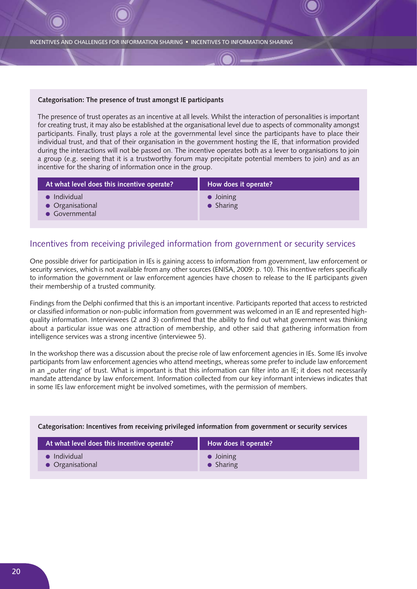#### **Categorisation: The presence of trust amongst IE participants**

The presence of trust operates as an incentive at all levels. Whilst the interaction of personalities is important for creating trust, it may also be established at the organisational level due to aspects of commonality amongst participants. Finally, trust plays a role at the governmental level since the participants have to place their individual trust, and that of their organisation in the government hosting the IE, that information provided during the interactions will not be passed on. The incentive operates both as a lever to organisations to join a group (e.g. seeing that it is a trustworthy forum may precipitate potential members to join) and as an incentive for the sharing of information once in the group.

| How does it operate?                   |
|----------------------------------------|
| $\bullet$ Joining<br>$\bullet$ Sharing |
|                                        |

### Incentives from receiving privileged information from government or security services

One possible driver for participation in IEs is gaining access to information from government, law enforcement or security services, which is not available from any other sources (ENISA, 2009: p. 10). This incentive refers specifically to information the government or law enforcement agencies have chosen to release to the IE participants given their membership of a trusted community.

Findings from the Delphi confirmed that this is an important incentive. Participants reported that access to restricted or classified information or non-public information from government was welcomed in an IE and represented highquality information. Interviewees (2 and 3) confirmed that the ability to find out what government was thinking about a particular issue was one attraction of membership, and other said that gathering information from intelligence services was a strong incentive (interviewee 5).

In the workshop there was a discussion about the precise role of law enforcement agencies in IEs. Some IEs involve participants from law enforcement agencies who attend meetings, whereas some prefer to include law enforcement in an \_outer ring' of trust. What is important is that this information can filter into an IE; it does not necessarily mandate attendance by law enforcement. Information collected from our key informant interviews indicates that in some IEs law enforcement might be involved sometimes, with the permission of members.

| At what level does this incentive operate? | How does it operate? |
|--------------------------------------------|----------------------|
| Individual                                 | $\bullet$ Joining    |
| • Organisational                           | $\bullet$ Sharing    |

#### **Categorisation: Incentives from receiving privileged information from government or security services**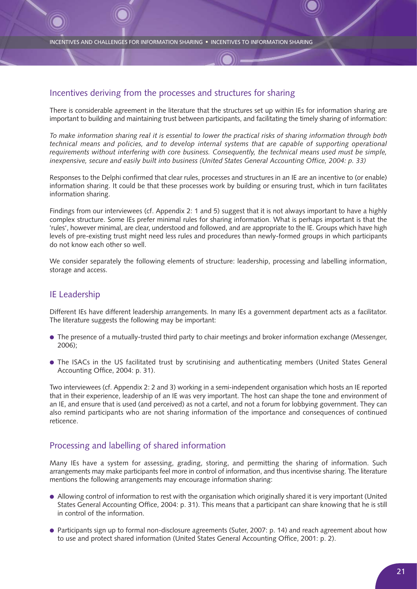### Incentives deriving from the processes and structures for sharing

There is considerable agreement in the literature that the structures set up within IEs for information sharing are important to building and maintaining trust between participants, and facilitating the timely sharing of information:

*To make information sharing real it is essential to lower the practical risks of sharing information through both technical means and policies, and to develop internal systems that are capable of supporting operational requirements without interfering with core business. Consequently, the technical means used must be simple, inexpensive, secure and easily built into business (United States General Accounting Office, 2004: p. 33)*

Responses to the Delphi confirmed that clear rules, processes and structures in an IE are an incentive to (or enable) information sharing. It could be that these processes work by building or ensuring trust, which in turn facilitates information sharing.

Findings from our interviewees (cf. Appendix 2: 1 and 5) suggest that it is not always important to have a highly complex structure. Some IEs prefer minimal rules for sharing information. What is perhaps important is that the 'rules', however minimal, are clear, understood and followed, and are appropriate to the IE. Groups which have high levels of pre-existing trust might need less rules and procedures than newly-formed groups in which participants do not know each other so well.

We consider separately the following elements of structure: leadership, processing and labelling information, storage and access.

### IE Leadership

Different IEs have different leadership arrangements. In many IEs a government department acts as a facilitator. The literature suggests the following may be important:

- The presence of a mutually-trusted third party to chair meetings and broker information exchange (Messenger, 2006);
- The ISACs in the US facilitated trust by scrutinising and authenticating members (United States General Accounting Office, 2004: p. 31).

Two interviewees (cf. Appendix 2: 2 and 3) working in a semi-independent organisation which hosts an IE reported that in their experience, leadership of an IE was very important. The host can shape the tone and environment of an IE, and ensure that is used (and perceived) as not a cartel, and not a forum for lobbying government. They can also remind participants who are not sharing information of the importance and consequences of continued reticence.

### Processing and labelling of shared information

Many IEs have a system for assessing, grading, storing, and permitting the sharing of information. Such arrangements may make participants feel more in control of information, and thus incentivise sharing. The literature mentions the following arrangements may encourage information sharing:

- Allowing control of information to rest with the organisation which originally shared it is very important (United States General Accounting Office, 2004: p. 31). This means that a participant can share knowing that he is still in control of the information.
- Participants sign up to formal non-disclosure agreements (Suter, 2007: p. 14) and reach agreement about how to use and protect shared information (United States General Accounting Office, 2001: p. 2).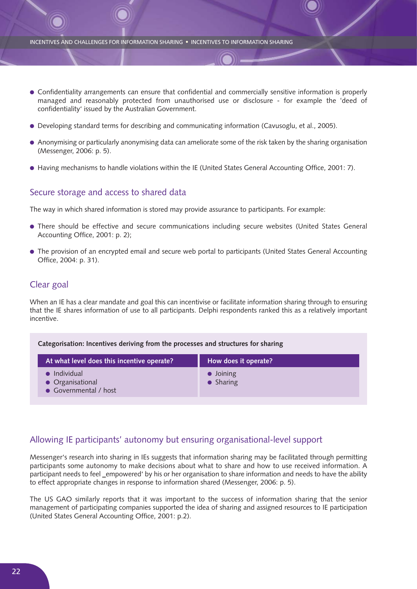- Confidentiality arrangements can ensure that confidential and commercially sensitive information is properly managed and reasonably protected from unauthorised use or disclosure - for example the 'deed of confidentiality' issued by the Australian Government.
- Developing standard terms for describing and communicating information (Cavusoglu, et al., 2005).
- Anonymising or particularly anonymising data can ameliorate some of the risk taken by the sharing organisation (Messenger, 2006: p. 5).
- Having mechanisms to handle violations within the IE (United States General Accounting Office, 2001: 7).

### Secure storage and access to shared data

**Categorisation: Incentives deriving from the processes and structures for sharing**

The way in which shared information is stored may provide assurance to participants. For example:

- There should be effective and secure communications including secure websites (United States General Accounting Office, 2001: p. 2);
- The provision of an encrypted email and secure web portal to participants (United States General Accounting Office, 2004: p. 31).

### Clear goal

● Governmental / host

When an IE has a clear mandate and goal this can incentivise or facilitate information sharing through to ensuring that the IE shares information of use to all participants. Delphi respondents ranked this as a relatively important incentive.

| Categorisation: incentives deriving from the processes and structures for sharing |                                        |
|-----------------------------------------------------------------------------------|----------------------------------------|
| At what level does this incentive operate?                                        | How does it operate?                   |
| $\bullet$ Individual<br>• Organisational                                          | $\bullet$ Joining<br>$\bullet$ Sharing |

Allowing IE participants' autonomy but ensuring organisational-level support

Messenger's research into sharing in IEs suggests that information sharing may be facilitated through permitting participants some autonomy to make decisions about what to share and how to use received information. A participant needs to feel \_empowered' by his or her organisation to share information and needs to have the ability to effect appropriate changes in response to information shared (Messenger, 2006: p. 5).

The US GAO similarly reports that it was important to the success of information sharing that the senior management of participating companies supported the idea of sharing and assigned resources to IE participation (United States General Accounting Office, 2001: p.2).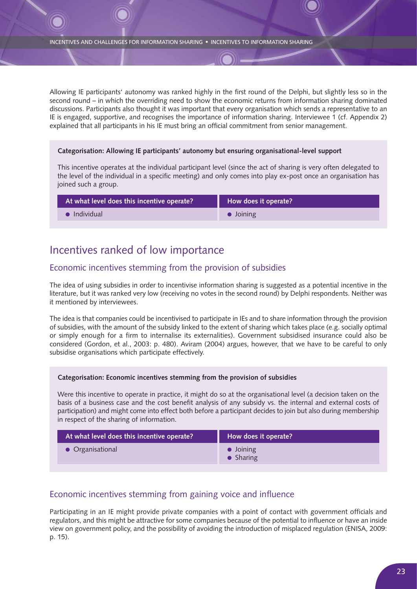Allowing IE participants' autonomy was ranked highly in the first round of the Delphi, but slightly less so in the second round – in which the overriding need to show the economic returns from information sharing dominated discussions. Participants also thought it was important that every organisation which sends a representative to an IE is engaged, supportive, and recognises the importance of information sharing. Interviewee 1 (cf. Appendix 2) explained that all participants in his IE must bring an official commitment from senior management.

### **Categorisation: Allowing IE participants' autonomy but ensuring organisational-level support**

This incentive operates at the individual participant level (since the act of sharing is very often delegated to the level of the individual in a specific meeting) and only comes into play ex-post once an organisation has joined such a group.

| At what level does this incentive operate? | How does it operate? |
|--------------------------------------------|----------------------|
| Individual                                 | $\bullet$ Joining    |

## Incentives ranked of low importance

### Economic incentives stemming from the provision of subsidies

The idea of using subsidies in order to incentivise information sharing is suggested as a potential incentive in the literature, but it was ranked very low (receiving no votes in the second round) by Delphi respondents. Neither was it mentioned by interviewees.

The idea is that companies could be incentivised to participate in IEs and to share information through the provision of subsidies, with the amount of the subsidy linked to the extent of sharing which takes place (e.g. socially optimal or simply enough for a firm to internalise its externalities). Government subsidised insurance could also be considered (Gordon, et al., 2003: p. 480). Aviram (2004) argues, however, that we have to be careful to only subsidise organisations which participate effectively.

### **Categorisation: Economic incentives stemming from the provision of subsidies**

Were this incentive to operate in practice, it might do so at the organisational level (a decision taken on the basis of a business case and the cost benefit analysis of any subsidy vs. the internal and external costs of participation) and might come into effect both before a participant decides to join but also during membership in respect of the sharing of information.

| At what level does this incentive operate? | How does it operate?                   |
|--------------------------------------------|----------------------------------------|
| • Organisational                           | $\bullet$ Joining<br>$\bullet$ Sharing |

### Economic incentives stemming from gaining voice and influence

Participating in an IE might provide private companies with a point of contact with government officials and regulators, and this might be attractive for some companies because of the potential to influence or have an inside view on government policy, and the possibility of avoiding the introduction of misplaced regulation (ENISA, 2009: p. 15).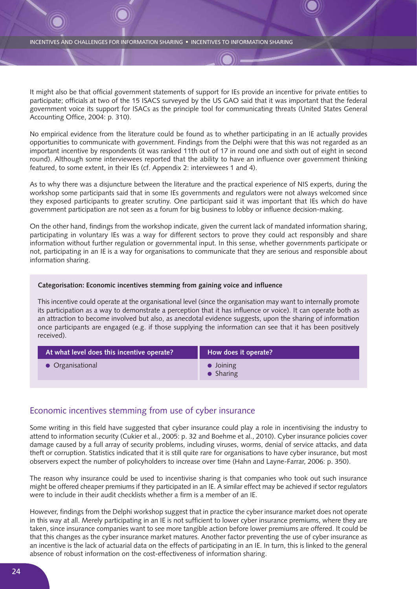It might also be that official government statements of support for IEs provide an incentive for private entities to participate; officials at two of the 15 ISACS surveyed by the US GAO said that it was important that the federal government voice its support for ISACs as the principle tool for communicating threats (United States General Accounting Office, 2004: p. 310).

No empirical evidence from the literature could be found as to whether participating in an IE actually provides opportunities to communicate with government. Findings from the Delphi were that this was not regarded as an important incentive by respondents (it was ranked 11th out of 17 in round one and sixth out of eight in second round). Although some interviewees reported that the ability to have an influence over government thinking featured, to some extent, in their IEs (cf. Appendix 2: interviewees 1 and 4).

As to why there was a disjuncture between the literature and the practical experience of NIS experts, during the workshop some participants said that in some IEs governments and regulators were not always welcomed since they exposed participants to greater scrutiny. One participant said it was important that IEs which do have government participation are not seen as a forum for big business to lobby or influence decision-making.

On the other hand, findings from the workshop indicate, given the current lack of mandated information sharing, participating in voluntary IEs was a way for different sectors to prove they could act responsibly and share information without further regulation or governmental input. In this sense, whether governments participate or not, participating in an IE is a way for organisations to communicate that they are serious and responsible about information sharing.

#### **Categorisation: Economic incentives stemming from gaining voice and influence**

This incentive could operate at the organisational level (since the organisation may want to internally promote its participation as a way to demonstrate a perception that it has influence or voice). It can operate both as an attraction to become involved but also, as anecdotal evidence suggests, upon the sharing of information once participants are engaged (e.g. if those supplying the information can see that it has been positively received).

| At what level does this incentive operate? | How does it operate?                   |
|--------------------------------------------|----------------------------------------|
| $\bullet$ Organisational                   | $\bullet$ Joining<br>$\bullet$ Sharing |

### Economic incentives stemming from use of cyber insurance

Some writing in this field have suggested that cyber insurance could play a role in incentivising the industry to attend to information security (Cukier et al., 2005: p. 32 and Boehme et al., 2010). Cyber insurance policies cover damage caused by a full array of security problems, including viruses, worms, denial of service attacks, and data theft or corruption. Statistics indicated that it is still quite rare for organisations to have cyber insurance, but most observers expect the number of policyholders to increase over time (Hahn and Layne-Farrar, 2006: p. 350).

The reason why insurance could be used to incentivise sharing is that companies who took out such insurance might be offered cheaper premiums if they participated in an IE. A similar effect may be achieved if sector regulators were to include in their audit checklists whether a firm is a member of an IE.

However, findings from the Delphi workshop suggest that in practice the cyber insurance market does not operate in this way at all. Merely participating in an IE is not sufficient to lower cyber insurance premiums, where they are taken, since insurance companies want to see more tangible action before lower premiums are offered. It could be that this changes as the cyber insurance market matures. Another factor preventing the use of cyber insurance as an incentive is the lack of actuarial data on the effects of participating in an IE. In turn, this is linked to the general absence of robust information on the cost-effectiveness of information sharing.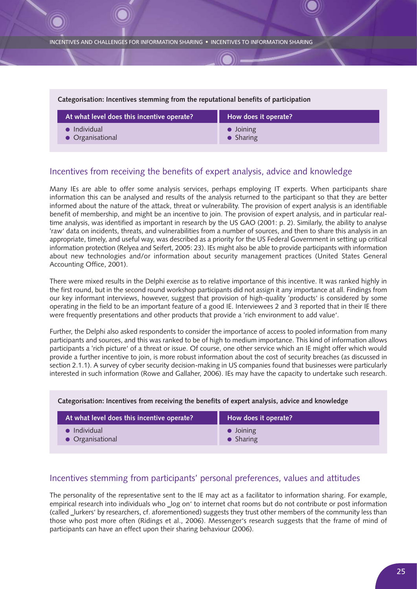### **Categorisation: Incentives stemming from the reputational benefits of participation At what level does this incentive operate?** ● Individual ● Organisational **How does it operate?** ● Joining ● Sharing

### Incentives from receiving the benefits of expert analysis, advice and knowledge

Many IEs are able to offer some analysis services, perhaps employing IT experts. When participants share information this can be analysed and results of the analysis returned to the participant so that they are better informed about the nature of the attack, threat or vulnerability. The provision of expert analysis is an identifiable benefit of membership, and might be an incentive to join. The provision of expert analysis, and in particular realtime analysis, was identified as important in research by the US GAO (2001: p. 2). Similarly, the ability to analyse 'raw' data on incidents, threats, and vulnerabilities from a number of sources, and then to share this analysis in an appropriate, timely, and useful way, was described as a priority for the US Federal Government in setting up critical information protection (Relyea and Seifert, 2005: 23). IEs might also be able to provide participants with information about new technologies and/or information about security management practices (United States General Accounting Office, 2001).

There were mixed results in the Delphi exercise as to relative importance of this incentive. It was ranked highly in the first round, but in the second round workshop participants did not assign it any importance at all. Findings from our key informant interviews, however, suggest that provision of high-quality 'products' is considered by some operating in the field to be an important feature of a good IE. Interviewees 2 and 3 reported that in their IE there were frequently presentations and other products that provide a 'rich environment to add value'.

Further, the Delphi also asked respondents to consider the importance of access to pooled information from many participants and sources, and this was ranked to be of high to medium importance. This kind of information allows participants a 'rich picture' of a threat or issue. Of course, one other service which an IE might offer which would provide a further incentive to join, is more robust information about the cost of security breaches (as discussed in section 2.1.1). A survey of cyber security decision-making in US companies found that businesses were particularly interested in such information (Rowe and Gallaher, 2006). IEs may have the capacity to undertake such research.

| At what level does this incentive operate? | How does it operate? |
|--------------------------------------------|----------------------|
| $\bullet$ Individual                       | $\bullet$ Joining    |
| • Organisational                           | $\bullet$ Sharing    |

### **Categorisation: Incentives from receiving the benefits of expert analysis, advice and knowledge**

### Incentives stemming from participants' personal preferences, values and attitudes

The personality of the representative sent to the IE may act as a facilitator to information sharing. For example, empirical research into individuals who \_log on' to internet chat rooms but do not contribute or post information (called ‗lurkers' by researchers, cf. aforementioned) suggests they trust other members of the community less than those who post more often (Ridings et al., 2006). Messenger's research suggests that the frame of mind of participants can have an effect upon their sharing behaviour (2006).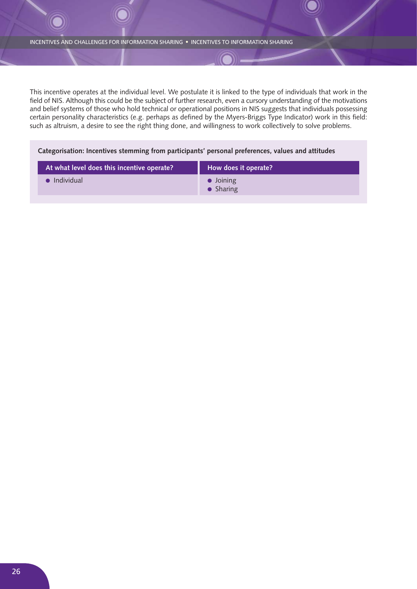This incentive operates at the individual level. We postulate it is linked to the type of individuals that work in the field of NIS. Although this could be the subject of further research, even a cursory understanding of the motivations and belief systems of those who hold technical or operational positions in NIS suggests that individuals possessing certain personality characteristics (e.g. perhaps as defined by the Myers-Briggs Type Indicator) work in this field: such as altruism, a desire to see the right thing done, and willingness to work collectively to solve problems.

### **Categorisation: Incentives stemming from participants' personal preferences, values and attitudes**

| At what level does this incentive operate? | How does it operate?                   |
|--------------------------------------------|----------------------------------------|
| $\bullet$ Individual                       | $\bullet$ Joining<br>$\bullet$ Sharing |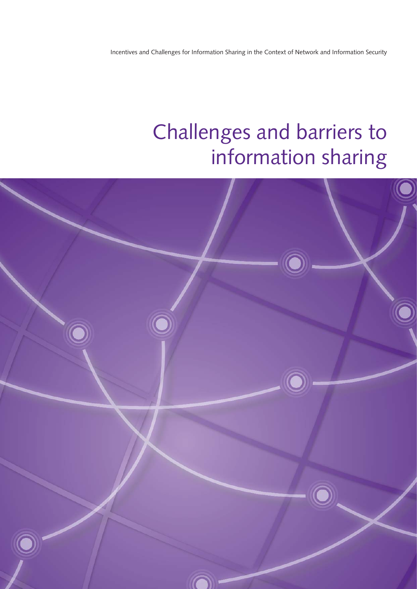Incentives and Challenges for Information Sharing in the Context of Network and Information Security

# Challenges and barriers to information sharing

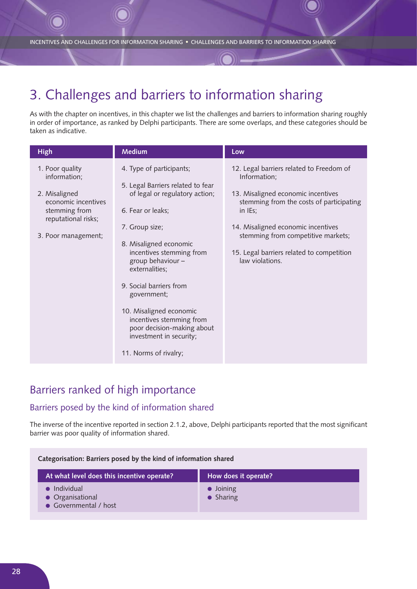# 3. Challenges and barriers to information sharing

As with the chapter on incentives, in this chapter we list the challenges and barriers to information sharing roughly in order of importance, as ranked by Delphi participants. There are some overlaps, and these categories should be taken as indicative.

| <b>High</b>                                                                                                                            | <b>Medium</b>                                                                                                                                                                                                                                                                                                                                                                                                          | Low                                                                                                                                                                                                                                                                                               |
|----------------------------------------------------------------------------------------------------------------------------------------|------------------------------------------------------------------------------------------------------------------------------------------------------------------------------------------------------------------------------------------------------------------------------------------------------------------------------------------------------------------------------------------------------------------------|---------------------------------------------------------------------------------------------------------------------------------------------------------------------------------------------------------------------------------------------------------------------------------------------------|
| 1. Poor quality<br>information;<br>2. Misaligned<br>economic incentives<br>stemming from<br>reputational risks;<br>3. Poor management; | 4. Type of participants;<br>5. Legal Barriers related to fear<br>of legal or regulatory action;<br>6. Fear or leaks;<br>7. Group size;<br>8. Misaligned economic<br>incentives stemming from<br>group behaviour -<br>externalities;<br>9. Social barriers from<br>government;<br>10. Misaligned economic<br>incentives stemming from<br>poor decision-making about<br>investment in security;<br>11. Norms of rivalry; | 12. Legal barriers related to Freedom of<br>Information;<br>13. Misaligned economic incentives<br>stemming from the costs of participating<br>in IEs;<br>14. Misaligned economic incentives<br>stemming from competitive markets;<br>15. Legal barriers related to competition<br>law violations. |

# Barriers ranked of high importance

## Barriers posed by the kind of information shared

The inverse of the incentive reported in section 2.1.2, above, Delphi participants reported that the most significant barrier was poor quality of information shared.

| Categorisation: Barriers posed by the kind of information shared |                      |
|------------------------------------------------------------------|----------------------|
| At what level does this incentive operate?                       | How does it operate? |
| $\bullet$ Individual                                             | $\bullet$ Joining    |

● Organisational

● Sharing

● Governmental / host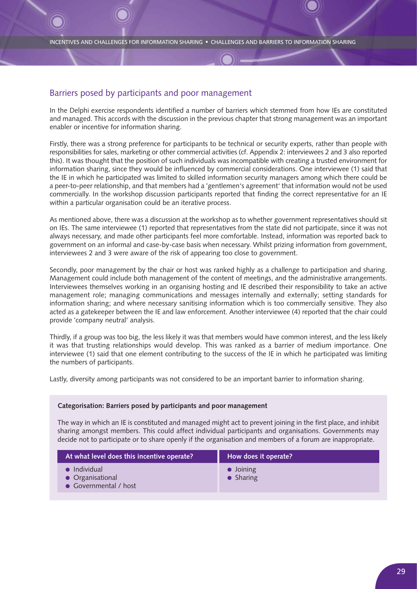## Barriers posed by participants and poor management

In the Delphi exercise respondents identified a number of barriers which stemmed from how IEs are constituted and managed. This accords with the discussion in the previous chapter that strong management was an important enabler or incentive for information sharing.

Firstly, there was a strong preference for participants to be technical or security experts, rather than people with responsibilities for sales, marketing or other commercial activities (cf. Appendix 2: interviewees 2 and 3 also reported this). It was thought that the position of such individuals was incompatible with creating a trusted environment for information sharing, since they would be influenced by commercial considerations. One interviewee (1) said that the IE in which he participated was limited to skilled information security managers among which there could be a peer-to-peer relationship, and that members had a 'gentlemen's agreement' that information would not be used commercially. In the workshop discussion participants reported that finding the correct representative for an IE within a particular organisation could be an iterative process.

As mentioned above, there was a discussion at the workshop as to whether government representatives should sit on IEs. The same interviewee (1) reported that representatives from the state did not participate, since it was not always necessary, and made other participants feel more comfortable. Instead, information was reported back to government on an informal and case-by-case basis when necessary. Whilst prizing information from government, interviewees 2 and 3 were aware of the risk of appearing too close to government.

Secondly, poor management by the chair or host was ranked highly as a challenge to participation and sharing. Management could include both management of the content of meetings, and the administrative arrangements. Interviewees themselves working in an organising hosting and IE described their responsibility to take an active management role; managing communications and messages internally and externally; setting standards for information sharing; and where necessary sanitising information which is too commercially sensitive. They also acted as a gatekeeper between the IE and law enforcement. Another interviewee (4) reported that the chair could provide 'company neutral' analysis.

Thirdly, if a group was too big, the less likely it was that members would have common interest, and the less likely it was that trusting relationships would develop. This was ranked as a barrier of medium importance. One interviewee (1) said that one element contributing to the success of the IE in which he participated was limiting the numbers of participants.

Lastly, diversity among participants was not considered to be an important barrier to information sharing.

### **Categorisation: Barriers posed by participants and poor management**

The way in which an IE is constituted and managed might act to prevent joining in the first place, and inhibit sharing amongst members. This could affect individual participants and organisations. Governments may decide not to participate or to share openly if the organisation and members of a forum are inappropriate.

| At what level does this incentive operate?                        | How does it operate?                   |
|-------------------------------------------------------------------|----------------------------------------|
| $\bullet$ Individual<br>• Organisational<br>• Governmental / host | $\bullet$ Joining<br>$\bullet$ Sharing |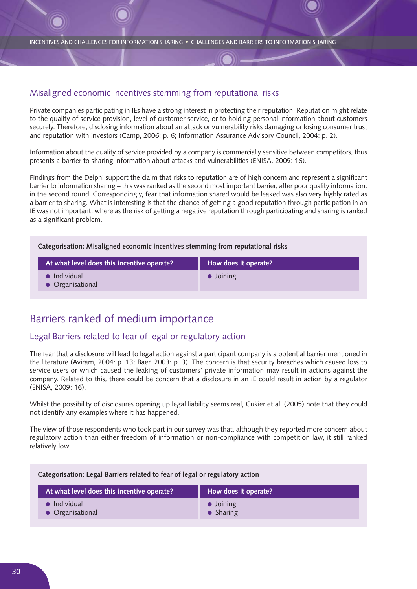### Misaligned economic incentives stemming from reputational risks

Private companies participating in IEs have a strong interest in protecting their reputation. Reputation might relate to the quality of service provision, level of customer service, or to holding personal information about customers securely. Therefore, disclosing information about an attack or vulnerability risks damaging or losing consumer trust and reputation with investors (Camp, 2006: p. 6; Information Assurance Advisory Council, 2004: p. 2).

Information about the quality of service provided by a company is commercially sensitive between competitors, thus presents a barrier to sharing information about attacks and vulnerabilities (ENISA, 2009: 16).

Findings from the Delphi support the claim that risks to reputation are of high concern and represent a significant barrier to information sharing – this was ranked as the second most important barrier, after poor quality information, in the second round. Correspondingly, fear that information shared would be leaked was also very highly rated as a barrier to sharing. What is interesting is that the chance of getting a good reputation through participation in an IE was not important, where as the risk of getting a negative reputation through participating and sharing is ranked as a significant problem.

### **Categorisation: Misaligned economic incentives stemming from reputational risks**

| At what level does this incentive operate? | How does it operate? |
|--------------------------------------------|----------------------|
| $\bullet$ Individual<br>• Organisational   | $\bullet$ Joining    |

## Barriers ranked of medium importance

### Legal Barriers related to fear of legal or regulatory action

The fear that a disclosure will lead to legal action against a participant company is a potential barrier mentioned in the literature (Aviram, 2004: p. 13; Baer, 2003: p. 3). The concern is that security breaches which caused loss to service users or which caused the leaking of customers' private information may result in actions against the company. Related to this, there could be concern that a disclosure in an IE could result in action by a regulator (ENISA, 2009: 16).

Whilst the possibility of disclosures opening up legal liability seems real, Cukier et al. (2005) note that they could not identify any examples where it has happened.

The view of those respondents who took part in our survey was that, although they reported more concern about regulatory action than either freedom of information or non-compliance with competition law, it still ranked relatively low.

### **Categorisation: Legal Barriers related to fear of legal or regulatory action**

| At what level does this incentive operate? | How does it operate? |
|--------------------------------------------|----------------------|
| $\bullet$ Individual                       | $\bullet$ Joining    |
| • Organisational                           | $\bullet$ Sharing    |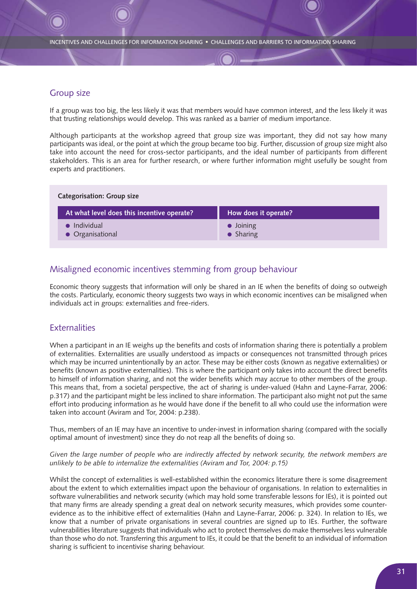### Group size

If a group was too big, the less likely it was that members would have common interest, and the less likely it was that trusting relationships would develop. This was ranked as a barrier of medium importance.

Although participants at the workshop agreed that group size was important, they did not say how many participants was ideal, or the point at which the group became too big. Further, discussion of group size might also take into account the need for cross-sector participants, and the ideal number of participants from different stakeholders. This is an area for further research, or where further information might usefully be sought from experts and practitioners.

| <b>Categorisation: Group size</b>          |                                        |
|--------------------------------------------|----------------------------------------|
| At what level does this incentive operate? | How does it operate?                   |
| $\bullet$ Individual<br>• Organisational   | $\bullet$ Joining<br>$\bullet$ Sharing |

## Misaligned economic incentives stemming from group behaviour

Economic theory suggests that information will only be shared in an IE when the benefits of doing so outweigh the costs. Particularly, economic theory suggests two ways in which economic incentives can be misaligned when individuals act in groups: externalities and free-riders.

## **Externalities**

When a participant in an IE weighs up the benefits and costs of information sharing there is potentially a problem of externalities. Externalities are usually understood as impacts or consequences not transmitted through prices which may be incurred unintentionally by an actor. These may be either costs (known as negative externalities) or benefits (known as positive externalities). This is where the participant only takes into account the direct benefits to himself of information sharing, and not the wider benefits which may accrue to other members of the group. This means that, from a societal perspective, the act of sharing is under-valued (Hahn and Layne-Farrar, 2006: p.317) and the participant might be less inclined to share information. The participant also might not put the same effort into producing information as he would have done if the benefit to all who could use the information were taken into account (Aviram and Tor, 2004: p.238).

Thus, members of an IE may have an incentive to under-invest in information sharing (compared with the socially optimal amount of investment) since they do not reap all the benefits of doing so.

*Given the large number of people who are indirectly affected by network security, the network members are unlikely to be able to internalize the externalities (Aviram and Tor, 2004: p.15)*

Whilst the concept of externalities is well-established within the economics literature there is some disagreement about the extent to which externalities impact upon the behaviour of organisations. In relation to externalities in software vulnerabilities and network security (which may hold some transferable lessons for IEs), it is pointed out that many firms are already spending a great deal on network security measures, which provides some counterevidence as to the inhibitive effect of externalities (Hahn and Layne-Farrar, 2006: p. 324). In relation to IEs, we know that a number of private organisations in several countries are signed up to IEs. Further, the software vulnerabilities literature suggests that individuals who act to protect themselves do make themselves less vulnerable than those who do not. Transferring this argument to IEs, it could be that the benefit to an individual of information sharing is sufficient to incentivise sharing behaviour.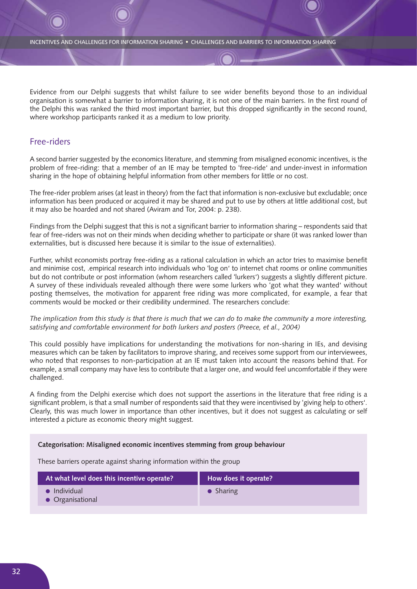Evidence from our Delphi suggests that whilst failure to see wider benefits beyond those to an individual organisation is somewhat a barrier to information sharing, it is not one of the main barriers. In the first round of the Delphi this was ranked the third most important barrier, but this dropped significantly in the second round, where workshop participants ranked it as a medium to low priority.

### Free-riders

A second barrier suggested by the economics literature, and stemming from misaligned economic incentives, is the problem of free-riding: that a member of an IE may be tempted to 'free-ride' and under-invest in information sharing in the hope of obtaining helpful information from other members for little or no cost.

The free-rider problem arises (at least in theory) from the fact that information is non-exclusive but excludable; once information has been produced or acquired it may be shared and put to use by others at little additional cost, but it may also be hoarded and not shared (Aviram and Tor, 2004: p. 238).

Findings from the Delphi suggest that this is not a significant barrier to information sharing – respondents said that fear of free-riders was not on their minds when deciding whether to participate or share (it was ranked lower than externalities, but is discussed here because it is similar to the issue of externalities).

Further, whilst economists portray free-riding as a rational calculation in which an actor tries to maximise benefit and minimise cost, .empirical research into individuals who 'log on' to internet chat rooms or online communities but do not contribute or post information (whom researchers called 'lurkers') suggests a slightly different picture. A survey of these individuals revealed although there were some lurkers who 'got what they wanted' without posting themselves, the motivation for apparent free riding was more complicated, for example, a fear that comments would be mocked or their credibility undermined. The researchers conclude:

### *The implication from this study is that there is much that we can do to make the community a more interesting, satisfying and comfortable environment for both lurkers and posters (Preece, et al., 2004)*

This could possibly have implications for understanding the motivations for non-sharing in IEs, and devising measures which can be taken by facilitators to improve sharing, and receives some support from our interviewees, who noted that responses to non-participation at an IE must taken into account the reasons behind that. For example, a small company may have less to contribute that a larger one, and would feel uncomfortable if they were challenged.

A finding from the Delphi exercise which does not support the assertions in the literature that free riding is a significant problem, is that a small number of respondents said that they were incentivised by 'giving help to others'. Clearly, this was much lower in importance than other incentives, but it does not suggest as calculating or self interested a picture as economic theory might suggest.

### **Categorisation: Misaligned economic incentives stemming from group behaviour**

These barriers operate against sharing information within the group

| At what level does this incentive operate? | How does it operate? |
|--------------------------------------------|----------------------|
| $\bullet$ Individual<br>• Organisational   | $\bullet$ Sharing    |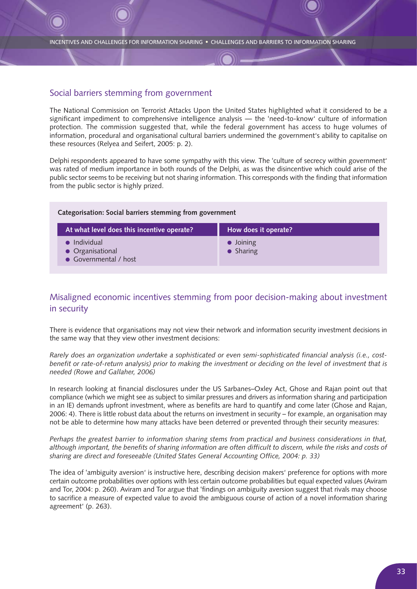## Social barriers stemming from government

The National Commission on Terrorist Attacks Upon the United States highlighted what it considered to be a significant impediment to comprehensive intelligence analysis — the 'need-to-know' culture of information protection. The commission suggested that, while the federal government has access to huge volumes of information, procedural and organisational cultural barriers undermined the government's ability to capitalise on these resources (Relyea and Seifert, 2005: p. 2).

Delphi respondents appeared to have some sympathy with this view. The 'culture of secrecy within government' was rated of medium importance in both rounds of the Delphi, as was the disincentive which could arise of the public sector seems to be receiving but not sharing information. This corresponds with the finding that information from the public sector is highly prized.

| Categorisation: Social barriers stemming from government          |                                        |
|-------------------------------------------------------------------|----------------------------------------|
| At what level does this incentive operate?                        | How does it operate?                   |
| $\bullet$ Individual<br>• Organisational<br>• Governmental / host | $\bullet$ Joining<br>$\bullet$ Sharing |

## Misaligned economic incentives stemming from poor decision-making about investment in security

There is evidence that organisations may not view their network and information security investment decisions in the same way that they view other investment decisions:

*Rarely does an organization undertake a sophisticated or even semi-sophisticated financial analysis (i.e., costbenefit or rate-of-return analysis) prior to making the investment or deciding on the level of investment that is needed (Rowe and Gallaher, 2006)*

In research looking at financial disclosures under the US Sarbanes–Oxley Act, Ghose and Rajan point out that compliance (which we might see as subject to similar pressures and drivers as information sharing and participation in an IE) demands upfront investment, where as benefits are hard to quantify and come later (Ghose and Rajan, 2006: 4). There is little robust data about the returns on investment in security – for example, an organisation may not be able to determine how many attacks have been deterred or prevented through their security measures:

*Perhaps the greatest barrier to information sharing stems from practical and business considerations in that, although important, the benefits of sharing information are often difficult to discern, while the risks and costs of sharing are direct and foreseeable (United States General Accounting Office, 2004: p. 33)*

The idea of 'ambiguity aversion' is instructive here, describing decision makers' preference for options with more certain outcome probabilities over options with less certain outcome probabilities but equal expected values (Aviram and Tor, 2004: p. 260). Aviram and Tor argue that 'findings on ambiguity aversion suggest that rivals may choose to sacrifice a measure of expected value to avoid the ambiguous course of action of a novel information sharing agreement' (p. 263).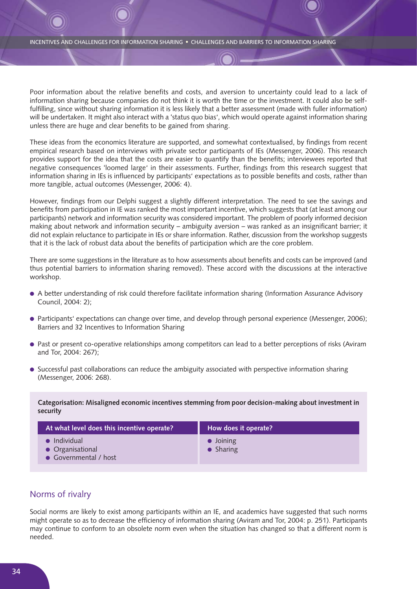Poor information about the relative benefits and costs, and aversion to uncertainty could lead to a lack of information sharing because companies do not think it is worth the time or the investment. It could also be selffulfilling, since without sharing information it is less likely that a better assessment (made with fuller information) will be undertaken. It might also interact with a 'status quo bias', which would operate against information sharing unless there are huge and clear benefits to be gained from sharing.

These ideas from the economics literature are supported, and somewhat contextualised, by findings from recent empirical research based on interviews with private sector participants of IEs (Messenger, 2006). This research provides support for the idea that the costs are easier to quantify than the benefits; interviewees reported that negative consequences 'loomed large' in their assessments. Further, findings from this research suggest that information sharing in IEs is influenced by participants' expectations as to possible benefits and costs, rather than more tangible, actual outcomes (Messenger, 2006: 4).

However, findings from our Delphi suggest a slightly different interpretation. The need to see the savings and benefits from participation in IE was ranked the most important incentive, which suggests that (at least among our participants) network and information security was considered important. The problem of poorly informed decision making about network and information security – ambiguity aversion – was ranked as an insignificant barrier; it did not explain reluctance to participate in IEs or share information. Rather, discussion from the workshop suggests that it is the lack of robust data about the benefits of participation which are the core problem.

There are some suggestions in the literature as to how assessments about benefits and costs can be improved (and thus potential barriers to information sharing removed). These accord with the discussions at the interactive workshop.

- A better understanding of risk could therefore facilitate information sharing (Information Assurance Advisory Council, 2004: 2);
- Participants' expectations can change over time, and develop through personal experience (Messenger, 2006); Barriers and 32 Incentives to Information Sharing
- Past or present co-operative relationships among competitors can lead to a better perceptions of risks (Aviram and Tor, 2004: 267);
- Successful past collaborations can reduce the ambiguity associated with perspective information sharing (Messenger, 2006: 268).

**Categorisation: Misaligned economic incentives stemming from poor decision-making about investment in security**

| At what level does this incentive operate?                        | How does it operate?                   |
|-------------------------------------------------------------------|----------------------------------------|
| $\bullet$ Individual<br>• Organisational<br>• Governmental / host | $\bullet$ Joining<br>$\bullet$ Sharing |

## Norms of rivalry

Social norms are likely to exist among participants within an IE, and academics have suggested that such norms might operate so as to decrease the efficiency of information sharing (Aviram and Tor, 2004: p. 251). Participants may continue to conform to an obsolete norm even when the situation has changed so that a different norm is needed.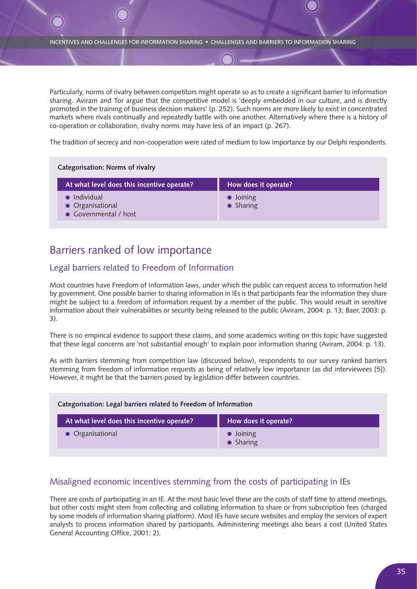Particularly, norms of rivalry between competitors might operate so as to create a significant barrier to information sharing. Aviram and Tor argue that the competitive model is 'deeply embedded in our culture, and is directly promoted in the training of business decision makers' (p. 252). Such norms are more likely to exist in concentrated markets where rivals continually and repeatedly battle with one another. Alternatively where there is a history of co-operation or collaboration, rivalry norms may have less of an impact (p. 267).

The tradition of secrecy and non-cooperation were rated of medium to low importance by our Delphi respondents.

| <b>Categorisation: Norms of rivalry</b>                   |                                        |  |
|-----------------------------------------------------------|----------------------------------------|--|
| At what level does this incentive operate?                | How does it operate?                   |  |
| • Individual<br>• Organisational<br>• Governmental / host | $\bullet$ Joining<br>$\bullet$ Sharing |  |

## Barriers ranked of low importance

## Legal barriers related to Freedom of Information

Most countries have Freedom of Information laws, under which the public can request access to information held by government. One possible barrier to sharing information in IEs is that participants fear the information they share might be subject to a freedom of information request by a member of the public. This would result in sensitive information about their vulnerabilities or security being released to the public (Aviram, 2004: p. 13; Baer, 2003: p. 3).

There is no empirical evidence to support these claims, and some academics writing on this topic have suggested that these legal concerns are 'not substantial enough' to explain poor information sharing (Aviram, 2004: p. 13).

As with barriers stemming from competition law (discussed below), respondents to our survey ranked barriers stemming from freedom of information requests as being of relatively low importance (as did interviewees [5]). However, it might be that the barriers posed by legislation differ between countries.

| Categorisation: Legal barriers related to Freedom of Information |                                        |
|------------------------------------------------------------------|----------------------------------------|
| At what level does this incentive operate?                       | How does it operate?                   |
| • Organisational                                                 | $\bullet$ Joining<br>$\bullet$ Sharing |

## Misaligned economic incentives stemming from the costs of participating in IEs

There are costs of participating in an IE. At the most basic level these are the costs of staff time to attend meetings, but other costs might stem from collecting and collating information to share or from subscription fees (charged by some models of information sharing platform). Most IEs have secure websites and employ the services of expert analysts to process information shared by participants. Administering meetings also bears a cost (United States General Accounting Office, 2001: 2).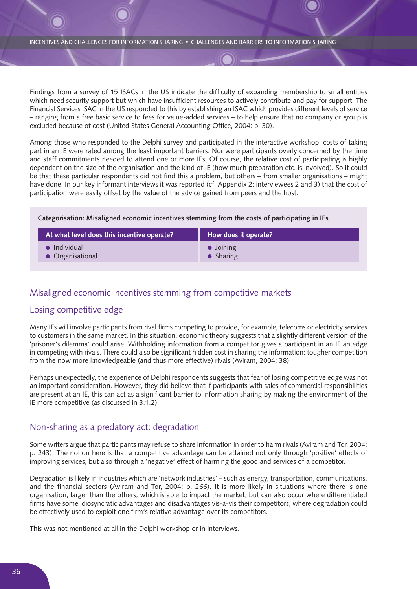Findings from a survey of 15 ISACs in the US indicate the difficulty of expanding membership to small entities which need security support but which have insufficient resources to actively contribute and pay for support. The Financial Services ISAC in the US responded to this by establishing an ISAC which provides different levels of service – ranging from a free basic service to fees for value-added services – to help ensure that no company or group is excluded because of cost (United States General Accounting Office, 2004: p. 30).

Among those who responded to the Delphi survey and participated in the interactive workshop, costs of taking part in an IE were rated among the least important barriers. Nor were participants overly concerned by the time and staff commitments needed to attend one or more IEs. Of course, the relative cost of participating is highly dependent on the size of the organisation and the kind of IE (how much preparation etc. is involved). So it could be that these particular respondents did not find this a problem, but others – from smaller organisations – might have done. In our key informant interviews it was reported (cf. Appendix 2: interviewees 2 and 3) that the cost of participation were easily offset by the value of the advice gained from peers and the host.

### **Categorisation: Misaligned economic incentives stemming from the costs of participating in IEs**

| At what level does this incentive operate? | How does it operate? |
|--------------------------------------------|----------------------|
| $\bullet$ Individual                       | $\bullet$ Joining    |
| • Organisational                           | $\bullet$ Sharing    |

### Misaligned economic incentives stemming from competitive markets

### Losing competitive edge

Many IEs will involve participants from rival firms competing to provide, for example, telecoms or electricity services to customers in the same market. In this situation, economic theory suggests that a slightly different version of the 'prisoner's dilemma' could arise. Withholding information from a competitor gives a participant in an IE an edge in competing with rivals. There could also be significant hidden cost in sharing the information: tougher competition from the now more knowledgeable (and thus more effective) rivals (Aviram, 2004: 38).

Perhaps unexpectedly, the experience of Delphi respondents suggests that fear of losing competitive edge was not an important consideration. However, they did believe that if participants with sales of commercial responsibilities are present at an IE, this can act as a significant barrier to information sharing by making the environment of the IE more competitive (as discussed in 3.1.2).

### Non-sharing as a predatory act: degradation

Some writers argue that participants may refuse to share information in order to harm rivals (Aviram and Tor, 2004: p. 243). The notion here is that a competitive advantage can be attained not only through 'positive' effects of improving services, but also through a 'negative' effect of harming the good and services of a competitor.

Degradation is likely in industries which are 'network industries' – such as energy, transportation, communications, and the financial sectors (Aviram and Tor, 2004: p. 266). It is more likely in situations where there is one organisation, larger than the others, which is able to impact the market, but can also occur where differentiated firms have some idiosyncratic advantages and disadvantages vis-à-vis their competitors, where degradation could be effectively used to exploit one firm's relative advantage over its competitors.

This was not mentioned at all in the Delphi workshop or in interviews.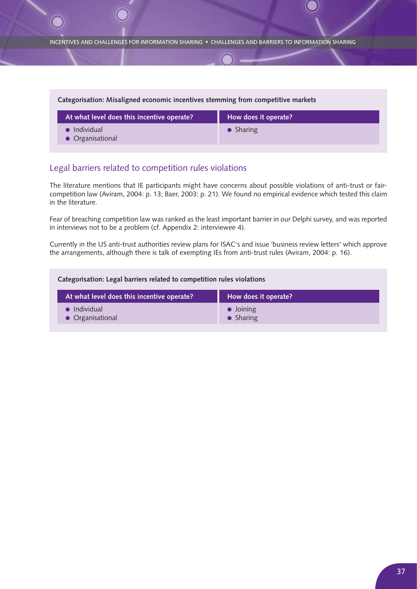| Categorisation: Misaligned economic incentives stemming from competitive markets |                      |  |  |  |
|----------------------------------------------------------------------------------|----------------------|--|--|--|
| At what level does this incentive operate?                                       | How does it operate? |  |  |  |
| $\blacksquare$ Individual<br>• Organisational                                    | $\bullet$ Sharing    |  |  |  |

## Legal barriers related to competition rules violations

The literature mentions that IE participants might have concerns about possible violations of anti-trust or faircompetition law (Aviram, 2004: p. 13; Baer, 2003: p. 21). We found no empirical evidence which tested this claim in the literature.

Fear of breaching competition law was ranked as the least important barrier in our Delphi survey, and was reported in interviews not to be a problem (cf. Appendix 2: interviewee 4).

Currently in the US anti-trust authorities review plans for ISAC's and issue 'business review letters' which approve the arrangements, although there is talk of exempting IEs from anti-trust rules (Aviram, 2004: p. 16).

| Categorisation: Legal barriers related to competition rules violations |                                        |  |  |
|------------------------------------------------------------------------|----------------------------------------|--|--|
| At what level does this incentive operate?                             | How does it operate?                   |  |  |
| Individual<br>• Organisational                                         | $\bullet$ Joining<br>$\bullet$ Sharing |  |  |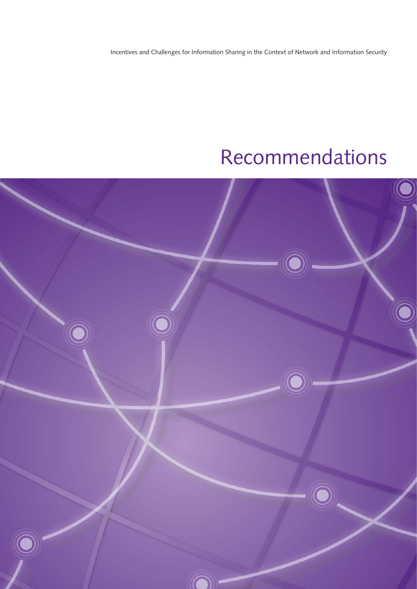Incentives and Challenges for Information Sharing in the Context of Network and Information Security

# Recommendations

![](_page_37_Picture_2.jpeg)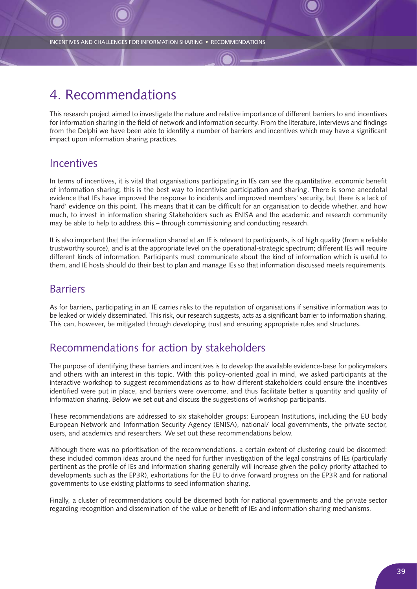# 4. Recommendations

This research project aimed to investigate the nature and relative importance of different barriers to and incentives for information sharing in the field of network and information security. From the literature, interviews and findings from the Delphi we have been able to identify a number of barriers and incentives which may have a significant impact upon information sharing practices.

## **Incentives**

In terms of incentives, it is vital that organisations participating in IEs can see the quantitative, economic benefit of information sharing; this is the best way to incentivise participation and sharing. There is some anecdotal evidence that IEs have improved the response to incidents and improved members' security, but there is a lack of 'hard' evidence on this point. This means that it can be difficult for an organisation to decide whether, and how much, to invest in information sharing Stakeholders such as ENISA and the academic and research community may be able to help to address this – through commissioning and conducting research.

It is also important that the information shared at an IE is relevant to participants, is of high quality (from a reliable trustworthy source), and is at the appropriate level on the operational-strategic spectrum; different IEs will require different kinds of information. Participants must communicate about the kind of information which is useful to them, and IE hosts should do their best to plan and manage IEs so that information discussed meets requirements.

## Barriers

As for barriers, participating in an IE carries risks to the reputation of organisations if sensitive information was to be leaked or widely disseminated. This risk, our research suggests, acts as a significant barrier to information sharing. This can, however, be mitigated through developing trust and ensuring appropriate rules and structures.

# Recommendations for action by stakeholders

The purpose of identifying these barriers and incentives is to develop the available evidence-base for policymakers and others with an interest in this topic. With this policy-oriented goal in mind, we asked participants at the interactive workshop to suggest recommendations as to how different stakeholders could ensure the incentives identified were put in place, and barriers were overcome, and thus facilitate better a quantity and quality of information sharing. Below we set out and discuss the suggestions of workshop participants.

These recommendations are addressed to six stakeholder groups: European Institutions, including the EU body European Network and Information Security Agency (ENISA), national/ local governments, the private sector, users, and academics and researchers. We set out these recommendations below.

Although there was no prioritisation of the recommendations, a certain extent of clustering could be discerned: these included common ideas around the need for further investigation of the legal constrains of IEs (particularly pertinent as the profile of IEs and information sharing generally will increase given the policy priority attached to developments such as the EP3R), exhortations for the EU to drive forward progress on the EP3R and for national governments to use existing platforms to seed information sharing.

Finally, a cluster of recommendations could be discerned both for national governments and the private sector regarding recognition and dissemination of the value or benefit of IEs and information sharing mechanisms.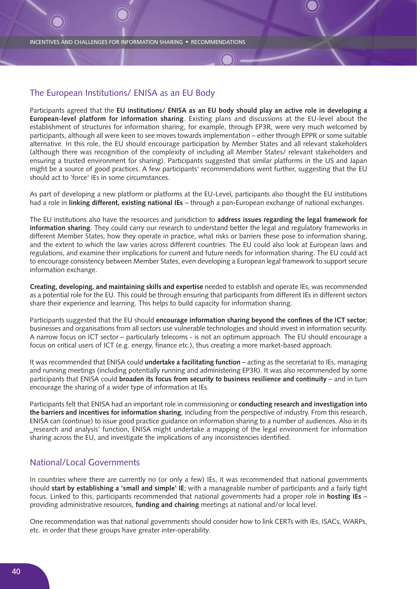### The European Institutions/ ENISA as an EU Body

Participants agreed that the **EU institutions/ ENISA as an EU body should play an active role in developing a European-level platform for information sharing**. Existing plans and discussions at the EU-level about the establishment of structures for information sharing, for example, through EP3R, were very much welcomed by participants, although all were keen to see moves towards implementation – either through EPPR or some suitable alternative. In this role, the EU should encourage participation by Member States and all relevant stakeholders (although there was recognition of the complexity of including all Member States/ relevant stakeholders and ensuring a trusted environment for sharing). Participants suggested that similar platforms in the US and Japan might be a source of good practices. A few participants' recommendations went further, suggesting that the EU should act to 'force' IEs in some circumstances.

As part of developing a new platform or platforms at the EU-Level, participants also thought the EU institutions had a role in **linking different, existing national IEs** – through a pan-European exchange of national exchanges.

The EU institutions also have the resources and jurisdiction to **address issues regarding the legal framework for information sharing**. They could carry our research to understand better the legal and regulatory frameworks in different Member States, how they operate in practice, what risks or barriers these pose to information sharing, and the extent to which the law varies across different countries. The EU could also look at European laws and regulations, and examine their implications for current and future needs for information sharing. The EU could act to encourage consistency between Member States, even developing a European legal framework to support secure information exchange.

**Creating, developing, and maintaining skills and expertise** needed to establish and operate IEs, was recommended as a potential role for the EU. This could be through ensuring that participants from different IEs in different sectors share their experience and learning. This helps to build capacity for information sharing.

Participants suggested that the EU should **encourage information sharing beyond the confines of the ICT sector**; businesses and organisations from all sectors use vulnerable technologies and should invest in information security. A narrow focus on ICT sector – particularly telecoms - is not an optimum approach. The EU should encourage a focus on critical users of ICT (e.g. energy, finance etc.), thus creating a more market-based approach.

It was recommended that ENISA could **undertake a facilitating function** – acting as the secretariat to IEs, managing and running meetings (including potentially running and administering EP3R). It was also recommended by some participants that ENISA could **broaden its focus from security to business resilience and continuity** – and in turn encourage the sharing of a wider type of information at IEs.

Participants felt that ENISA had an important role in commissioning or **conducting research and investigation into the barriers and incentives for information sharing**, including from the perspective of industry. From this research, ENISA can (continue) to issue good practice guidance on information sharing to a number of audiences. Also in its ‗research and analysis' function, ENISA might undertake a mapping of the legal environment for information sharing across the EU, and investigate the implications of any inconsistencies identified.

### National/Local Governments

In countries where there are currently no (or only a few) IEs, it was recommended that national governments should **start by establishing a 'small and simple' IE**; with a manageable number of participants and a fairly tight focus. Linked to this, participants recommended that national governments had a proper role in **hosting IEs** – providing administrative resources, **funding and chairing** meetings at national and/or local level.

One recommendation was that national governments should consider how to link CERTs with IEs, ISACs, WARPs, etc. in order that these groups have greater inter-operability.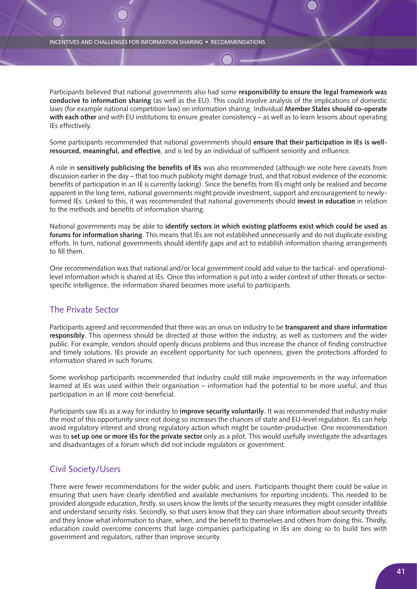Participants believed that national governments also had some **responsibility to ensure the legal framework was conducive to information sharing** (as well as the EU). This could involve analysis of the implications of domestic laws (for example national competition law) on information sharing. Individual **Member States should co-operate with each other** and with EU institutions to ensure greater consistency – as well as to learn lessons about operating IEs effectively.

Some participants recommended that national governments should **ensure that their participation in IEs is wellresourced, meaningful, and effective**, and is led by an individual of sufficient seniority and influence.

A role in **sensitively publicising the benefits of IEs** was also recommended (although we note here caveats from discussion earlier in the day – that too much publicity might damage trust, and that robust evidence of the economic benefits of participation in an IE is currently lacking). Since the benefits from IEs might only be realised and become apparent in the long term, national governments might provide investment, support and encouragement to newlyformed IEs. Linked to this, it was recommended that national governments should **invest in education** in relation to the methods and benefits of information sharing.

National governments may be able to **identify sectors in which existing platforms exist which could be used as forums for information sharing**. This means that IEs are not established unnecessarily and do not duplicate existing efforts. In turn, national governments should identify gaps and act to establish information sharing arrangements to fill them.

One recommendation was that national and/or local government could add value to the tactical- and operationallevel information which is shared at IEs. Once this information is put into a wider context of other threats or sectorspecific intelligence, the information shared becomes more useful to participants.

### The Private Sector

Participants agreed and recommended that there was an onus on industry to be **transparent and share information responsibly**. This openness should be directed at those within the industry, as well as customers and the wider public. For example, vendors should openly discuss problems and thus increase the chance of finding constructive and timely solutions. IEs provide an excellent opportunity for such openness, given the protections afforded to information shared in such forums.

Some workshop participants recommended that industry could still make improvements in the way information learned at IEs was used within their organisation – information had the potential to be more useful, and thus participation in an IE more cost-beneficial.

Participants saw IEs as a way for industry to **improve security voluntarily**. It was recommended that industry make the most of this opportunity since not doing so increases the chances of state and EU-level regulation. IEs can help avoid regulatory interest and strong regulatory action which might be counter-productive. One recommendation was to **set up one or more IEs for the private sector** only as a pilot. This would usefully investigate the advantages and disadvantages of a forum which did not include regulators or government.

## Civil Society/Users

There were fewer recommendations for the wider public and users. Participants thought there could be value in ensuring that users have clearly identified and available mechanisms for reporting incidents. This needed to be provided alongside education, firstly, so users know the limits of the security measures they might consider infallible and understand security risks. Secondly, so that users know that they can share information about security threats and they know what information to share, when, and the benefit to themselves and others from doing this. Thirdly, education could overcome concerns that large companies participating in IEs are doing so to build ties with government and regulators, rather than improve security.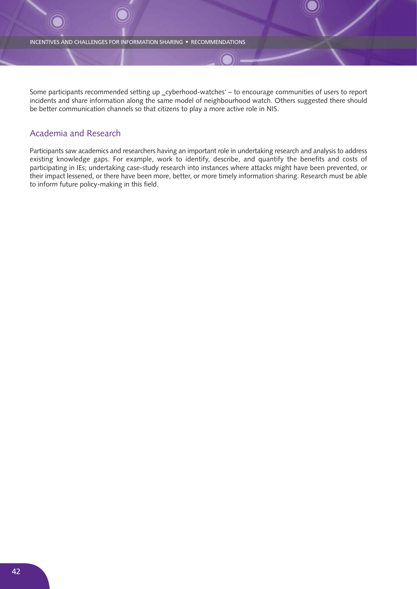Some participants recommended setting up \_cyberhood-watches' – to encourage communities of users to report incidents and share information along the same model of neighbourhood watch. Others suggested there should be better communication channels so that citizens to play a more active role in NIS.

### Academia and Research

Participants saw academics and researchers having an important role in undertaking research and analysis to address existing knowledge gaps. For example, work to identify, describe, and quantify the benefits and costs of participating in IEs; undertaking case-study research into instances where attacks might have been prevented, or their impact lessened, or there have been more, better, or more timely information sharing. Research must be able to inform future policy-making in this field.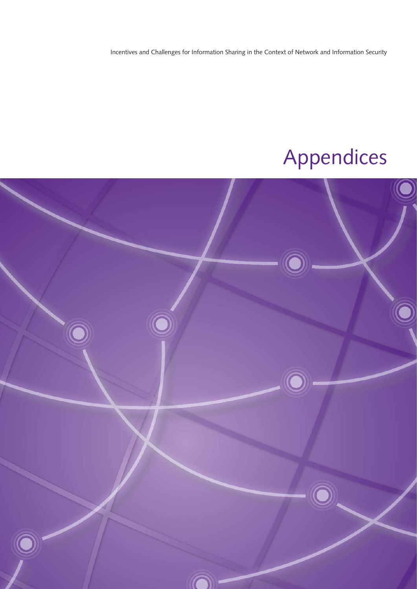Incentives and Challenges for Information Sharing in the Context of Network and Information Security

# Appendices

![](_page_42_Picture_2.jpeg)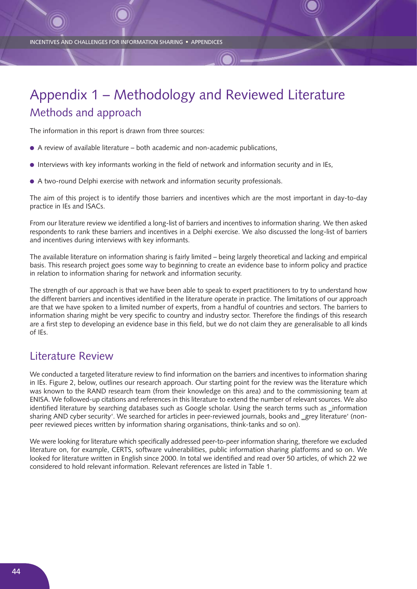# Appendix 1 – Methodology and Reviewed Literature Methods and approach

The information in this report is drawn from three sources:

- A review of available literature both academic and non-academic publications,
- Interviews with key informants working in the field of network and information security and in IEs,
- A two-round Delphi exercise with network and information security professionals.

The aim of this project is to identify those barriers and incentives which are the most important in day-to-day practice in IEs and ISACs.

From our literature review we identified a long-list of barriers and incentives to information sharing. We then asked respondents to rank these barriers and incentives in a Delphi exercise. We also discussed the long-list of barriers and incentives during interviews with key informants.

The available literature on information sharing is fairly limited – being largely theoretical and lacking and empirical basis. This research project goes some way to beginning to create an evidence base to inform policy and practice in relation to information sharing for network and information security.

The strength of our approach is that we have been able to speak to expert practitioners to try to understand how the different barriers and incentives identified in the literature operate in practice. The limitations of our approach are that we have spoken to a limited number of experts, from a handful of countries and sectors. The barriers to information sharing might be very specific to country and industry sector. Therefore the findings of this research are a first step to developing an evidence base in this field, but we do not claim they are generalisable to all kinds of IEs.

## Literature Review

We conducted a targeted literature review to find information on the barriers and incentives to information sharing in IEs. Figure 2, below, outlines our research approach. Our starting point for the review was the literature which was known to the RAND research team (from their knowledge on this area) and to the commissioning team at ENISA. We followed-up citations and references in this literature to extend the number of relevant sources. We also identified literature by searching databases such as Google scholar. Using the search terms such as \_information sharing AND cyber security'. We searched for articles in peer-reviewed journals, books and grey literature' (nonpeer reviewed pieces written by information sharing organisations, think-tanks and so on).

We were looking for literature which specifically addressed peer-to-peer information sharing, therefore we excluded literature on, for example, CERTS, software vulnerabilities, public information sharing platforms and so on. We looked for literature written in English since 2000. In total we identified and read over 50 articles, of which 22 we considered to hold relevant information. Relevant references are listed in Table 1.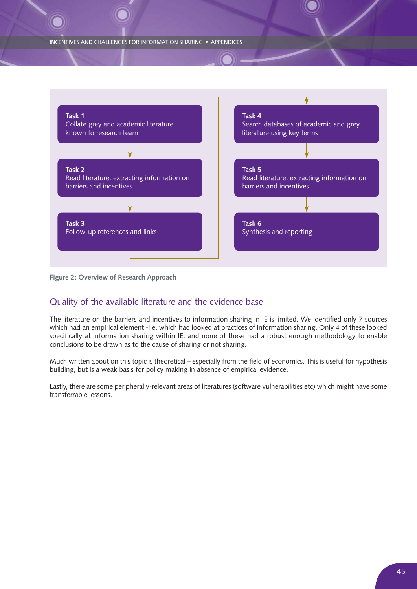![](_page_44_Figure_1.jpeg)

**Figure 2: Overview of Research Approach**

## Quality of the available literature and the evidence base

The literature on the barriers and incentives to information sharing in IE is limited. We identified only 7 sources which had an empirical element -i.e. which had looked at practices of information sharing. Only 4 of these looked specifically at information sharing within IE, and none of these had a robust enough methodology to enable conclusions to be drawn as to the cause of sharing or not sharing.

Much written about on this topic is theoretical – especially from the field of economics. This is useful for hypothesis building, but is a weak basis for policy making in absence of empirical evidence.

Lastly, there are some peripherally-relevant areas of literatures (software vulnerabilities etc) which might have some transferrable lessons.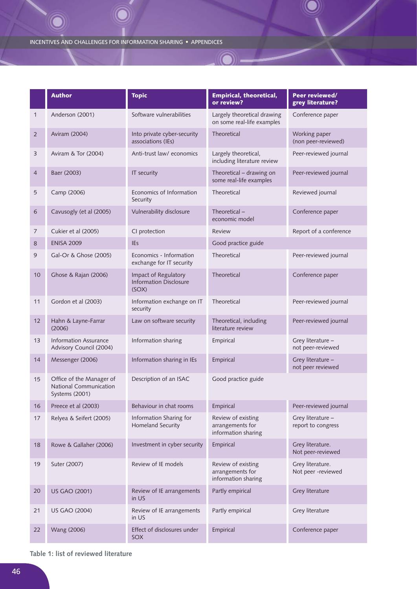|                | <b>Author</b>                                                        | <b>Topic</b>                                                   | <b>Empirical, theoretical,</b><br>or review?                  | Peer reviewed/<br>grey literature?      |
|----------------|----------------------------------------------------------------------|----------------------------------------------------------------|---------------------------------------------------------------|-----------------------------------------|
| 1              | Anderson (2001)                                                      | Software vulnerabilities                                       | Largely theoretical drawing<br>on some real-life examples     | Conference paper                        |
| $\overline{2}$ | Aviram (2004)                                                        | Into private cyber-security<br>associations (IEs)              | Theoretical                                                   | Working paper<br>(non peer-reviewed)    |
| 3              | Aviram & Tor (2004)                                                  | Anti-trust law/economics                                       | Largely theoretical,<br>including literature review           | Peer-reviewed journal                   |
| 4              | Baer (2003)                                                          | IT security                                                    | Theoretical - drawing on<br>some real-life examples           | Peer-reviewed journal                   |
| 5              | Camp (2006)                                                          | Economics of Information<br>Security                           | Theoretical                                                   | Reviewed journal                        |
| 6              | Cavusogly (et al (2005)                                              | Vulnerability disclosure                                       | Theoretical -<br>economic model                               | Conference paper                        |
| 7              | Cukier et al (2005)                                                  | CI protection                                                  | <b>Review</b>                                                 | Report of a conference                  |
| 8              | <b>ENISA 2009</b>                                                    | <b>IEs</b>                                                     | Good practice guide                                           |                                         |
| 9              | Gal-Or & Ghose (2005)                                                | Economics - Information<br>exchange for IT security            | Theoretical                                                   | Peer-reviewed journal                   |
| 10             | Ghose & Rajan (2006)                                                 | Impact of Regulatory<br><b>Information Disclosure</b><br>(SOX) | Theoretical                                                   | Conference paper                        |
| 11             | Gordon et al (2003)                                                  | Information exchange on IT<br>security                         | Theoretical                                                   | Peer-reviewed journal                   |
| 12             | Hahn & Layne-Farrar<br>(2006)                                        | Law on software security                                       | Theoretical, including<br>literature review                   | Peer-reviewed journal                   |
| 13             | <b>Information Assurance</b><br>Advisory Council (2004)              | Information sharing                                            | Empirical                                                     | Grey literature -<br>not peer-reviewed  |
| 14             | Messenger (2006)                                                     | Information sharing in IEs                                     | Empirical                                                     | Grey literature -<br>not peer reviewed  |
| 15             | Office of the Manager of<br>National Communication<br>Systems (2001) | Description of an ISAC                                         | Good practice guide                                           |                                         |
| 16             | Preece et al (2003)                                                  | Behaviour in chat rooms                                        | Empirical                                                     | Peer-reviewed journal                   |
| 17             | Relyea & Seifert (2005)                                              | Information Sharing for<br>Homeland Security                   | Review of existing<br>arrangements for<br>information sharing | Grey literature -<br>report to congress |
| 18             | Rowe & Gallaher (2006)                                               | Investment in cyber security                                   | Empirical                                                     | Grey literature.<br>Not peer-reviewed   |
| 19             | Suter (2007)                                                         | Review of IE models                                            | Review of existing<br>arrangements for<br>information sharing | Grey literature.<br>Not peer -reviewed  |
| 20             | <b>US GAO (2001)</b>                                                 | Review of IE arrangements<br>in US                             | Partly empirical                                              | Grey literature                         |
| 21             | <b>US GAO (2004)</b>                                                 | Review of IE arrangements<br>in US                             | Partly empirical                                              | Grey literature                         |
| 22             | Wang (2006)                                                          | Effect of disclosures under<br>SOX                             | Empirical                                                     | Conference paper                        |

K

**Table 1: list of reviewed literature**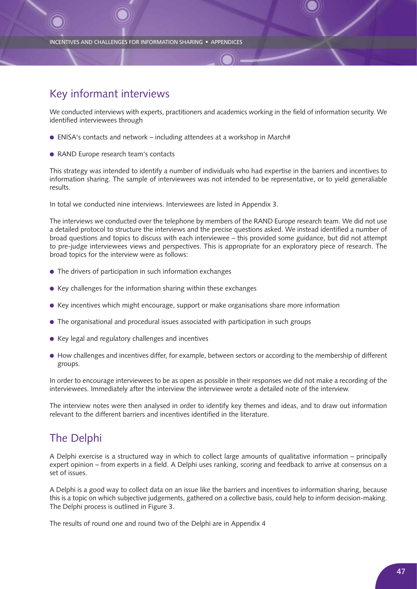# Key informant interviews

We conducted interviews with experts, practitioners and academics working in the field of information security. We identified interviewees through

- $\bullet$  ENISA's contacts and network including attendees at a workshop in March#
- RAND Europe research team's contacts

This strategy was intended to identify a number of individuals who had expertise in the barriers and incentives to information sharing. The sample of interviewees was not intended to be representative, or to yield generaliable results.

In total we conducted nine interviews. Interviewees are listed in Appendix 3.

The interviews we conducted over the telephone by members of the RAND Europe research team. We did not use a detailed protocol to structure the interviews and the precise questions asked. We instead identified a number of broad questions and topics to discuss with each interviewee – this provided some guidance, but did not attempt to pre-judge interviewees views and perspectives. This is appropriate for an exploratory piece of research. The broad topics for the interview were as follows:

- The drivers of participation in such information exchanges
- $\bullet$  Key challenges for the information sharing within these exchanges
- Key incentives which might encourage, support or make organisations share more information
- The organisational and procedural issues associated with participation in such groups
- Key legal and regulatory challenges and incentives
- How challenges and incentives differ, for example, between sectors or according to the membership of different groups.

In order to encourage interviewees to be as open as possible in their responses we did not make a recording of the interviewees. Immediately after the interview the interviewee wrote a detailed note of the interview.

The interview notes were then analysed in order to identify key themes and ideas, and to draw out information relevant to the different barriers and incentives identified in the literature.

# The Delphi

A Delphi exercise is a structured way in which to collect large amounts of qualitative information – principally expert opinion – from experts in a field. A Delphi uses ranking, scoring and feedback to arrive at consensus on a set of issues.

A Delphi is a good way to collect data on an issue like the barriers and incentives to information sharing, because this is a topic on which subjective judgements, gathered on a collective basis, could help to inform decision-making. The Delphi process is outlined in Figure 3.

The results of round one and round two of the Delphi are in Appendix 4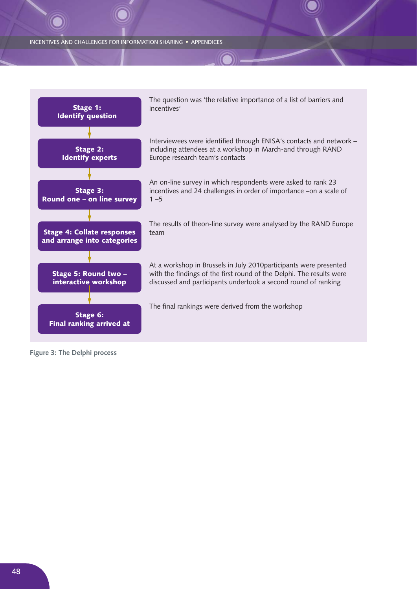![](_page_47_Figure_1.jpeg)

**Figure 3: The Delphi process**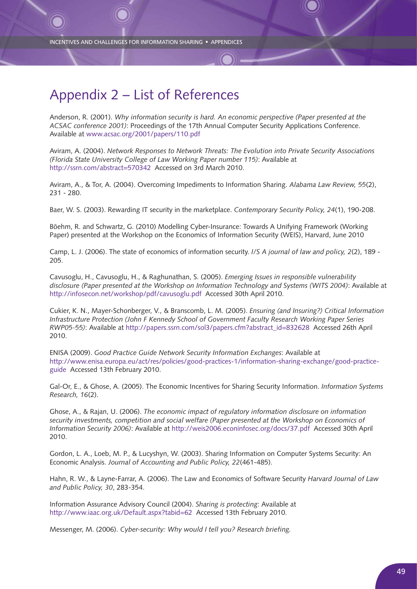# Appendix 2 – List of References

Anderson, R. (2001). *Why information security is hard. An economic perspective (Paper presented at the ACSAC conference 2001)*: Proceedings of the 17th Annual Computer Security Applications Conference. Available at www.acsac.org/2001/papers/110.pdf

Aviram, A. (2004). *Network Responses to Network Threats: The Evolution into Private Security Associations (Florida State University College of Law Working Paper number 115)*: Available at http://ssrn.com/abstract=570342 Accessed on 3rd March 2010.

Aviram, A., & Tor, A. (2004). Overcoming Impediments to Information Sharing. *Alabama Law Review, 55*(2), 231 - 280.

Baer, W. S. (2003). Rewarding IT security in the marketplace. *Contemporary Security Policy, 24*(1), 190-208.

Böehm, R. and Schwartz, G. (2010) Modelling Cyber-Insurance: Towards A Unifying Framework (Working Paper) presented at the Workshop on the Economics of Information Security (WEIS), Harvard, June 2010

Camp, L. J. (2006). The state of economics of information security. *I/S A journal of law and policy, 2*(2), 189 - 205.

Cavusoglu, H., Cavusoglu, H., & Raghunathan, S. (2005). *Emerging Issues in responsible vulnerability disclosure (Paper presented at the Workshop on Information Technology and Systems (WITS 2004)*: Available at http://infosecon.net/workshop/pdf/cavusoglu.pdf Accessed 30th April 2010.

Cukier, K. N., Mayer-Schonberger, V., & Branscomb, L. M. (2005). *Ensuring (and Insuring?) Critical Information Infrastructure Protection (John F Kennedy School of Government Faculty Research Working Paper Series RWP05-55)*: Available at http://papers.ssrn.com/sol3/papers.cfm?abstract\_id=832628 Accessed 26th April 2010.

ENISA (2009). *Good Practice Guide Network Security Information Exchanges*: Available at http://www.enisa.europa.eu/act/res/policies/good-practices-1/information-sharing-exchange/good-practiceguide Accessed 13th February 2010.

Gal-Or, E., & Ghose, A. (2005). The Economic Incentives for Sharing Security Information. *Information Systems Research, 16*(2).

Ghose, A., & Rajan, U. (2006). *The economic impact of regulatory information disclosure on information security investments, competition and social welfare (Paper presented at the Workshop on Economics of Information Security 2006)*: Available at http://weis2006.econinfosec.org/docs/37.pdf Accessed 30th April 2010.

Gordon, L. A., Loeb, M. P., & Lucyshyn, W. (2003). Sharing Information on Computer Systems Security: An Economic Analysis. *Journal of Accounting and Public Policy, 22*(461-485).

Hahn, R. W., & Layne-Farrar, A. (2006). The Law and Economics of Software Security *Harvard Journal of Law and Public Policy, 30*, 283-354.

Information Assurance Advisory Council (2004). *Sharing is protecting*: Available at http://www.iaac.org.uk/Default.aspx?tabid=62 Accessed 13th February 2010.

Messenger, M. (2006). *Cyber-security: Why would I tell you? Research briefing.*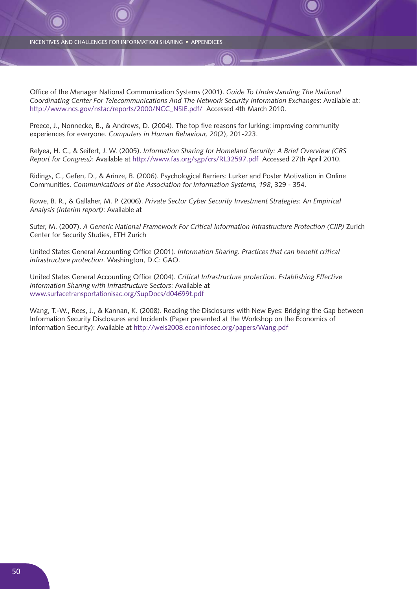Office of the Manager National Communication Systems (2001). *Guide To Understanding The National Coordinating Center For Telecommunications And The Network Security Information Exchanges*: Available at: http://www.ncs.gov/nstac/reports/2000/NCC\_NSIE.pdf/ Accessed 4th March 2010.

Preece, J., Nonnecke, B., & Andrews, D. (2004). The top five reasons for lurking: improving community experiences for everyone. *Computers in Human Behaviour, 20*(2), 201-223.

Relyea, H. C., & Seifert, J. W. (2005). *Information Sharing for Homeland Security: A Brief Overview (CRS Report for Congress)*: Available at http://www.fas.org/sgp/crs/RL32597.pdf Accessed 27th April 2010.

Ridings, C., Gefen, D., & Arinze, B. (2006). Psychological Barriers: Lurker and Poster Motivation in Online Communities. *Communications of the Association for Information Systems, 198*, 329 - 354.

Rowe, B. R., & Gallaher, M. P. (2006). *Private Sector Cyber Security Investment Strategies: An Empirical Analysis (Interim report)*: Available at

Suter, M. (2007). *A Generic National Framework For Critical Information Infrastructure Protection (CIIP)* Zurich Center for Security Studies, ETH Zurich

United States General Accounting Office (2001). *Information Sharing. Practices that can benefit critical infrastructure protection*. Washington, D.C: GAO.

United States General Accounting Office (2004). *Critical Infrastructure protection. Establishing Effective Information Sharing with Infrastructure Sectors*: Available at www.surfacetransportationisac.org/SupDocs/d04699t.pdf

Wang, T.-W., Rees, J., & Kannan, K. (2008). Reading the Disclosures with New Eyes: Bridging the Gap between Information Security Disclosures and Incidents (Paper presented at the Workshop on the Economics of Information Security): Available at http://weis2008.econinfosec.org/papers/Wang.pdf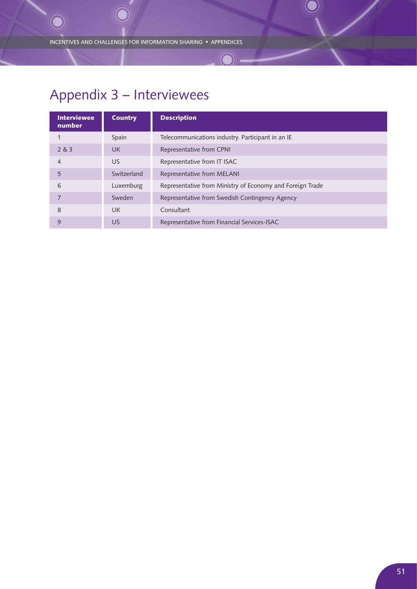# Appendix 3 – Interviewees

| <b>Interviewee</b><br>number | <b>Country</b> | <b>Description</b>                                        |
|------------------------------|----------------|-----------------------------------------------------------|
|                              | Spain          | Telecommunications industry. Participant in an IE         |
| 2 & 3                        | <b>UK</b>      | Representative from CPNI                                  |
| $\overline{4}$               | US             | Representative from IT ISAC                               |
| 5                            | Switzerland    | Representative from MELANI                                |
| 6                            | Luxemburg      | Representative from Ministry of Economy and Foreign Trade |
| $\overline{7}$               | Sweden         | Representative from Swedish Contingency Agency            |
| 8                            | UK             | Consultant                                                |
| 9                            | US             | Representative from Financial Services-ISAC               |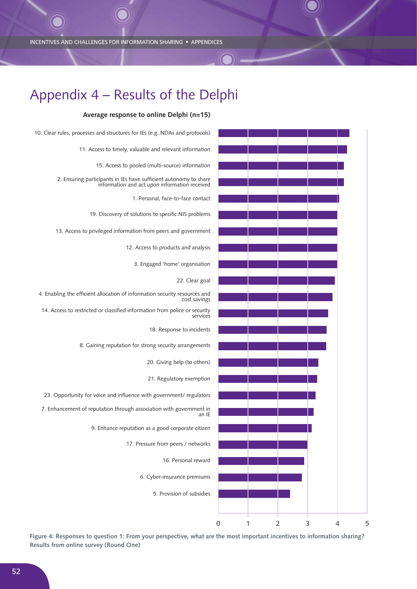![](_page_51_Figure_1.jpeg)

**Average response to online Delphi (n=15)**

Appendix 4 – Results of the Delphi

**Figure 4: Responses to question 1: From your perspective, what are the most important incentives to information sharing? Results from online survey (Round One)**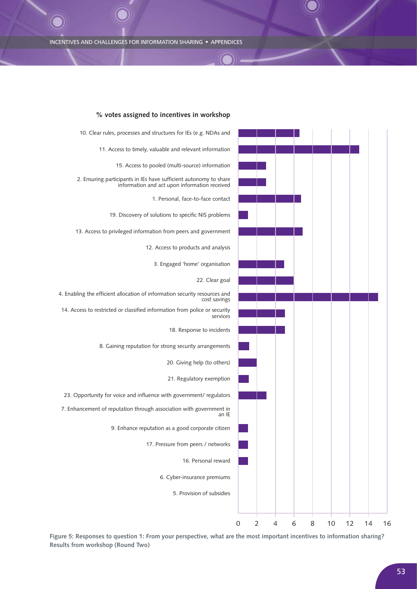![](_page_52_Figure_1.jpeg)

### **% votes assigned to incentives in workshop**

**Figure 5: Responses to question 1: From your perspective, what are the most important incentives to information sharing? Results from workshop (Round Two)**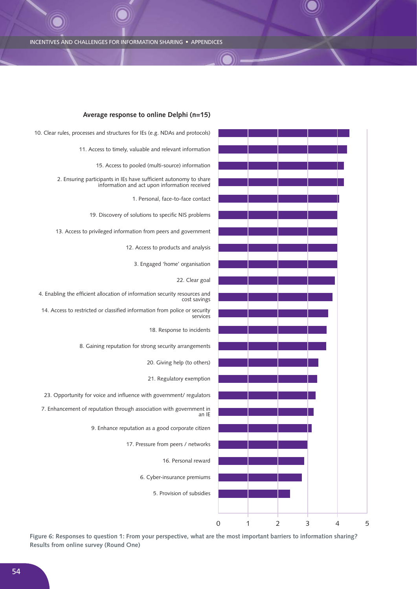![](_page_53_Figure_1.jpeg)

### **Average response to online Delphi (n=15)**

**Figure 6: Responses to question 1: From your perspective, what are the most important barriers to information sharing? Results from online survey (Round One)**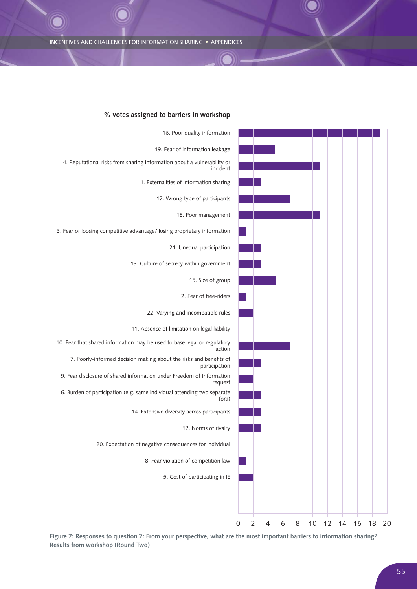![](_page_54_Figure_1.jpeg)

### **% votes assigned to barriers in workshop**

**Figure 7: Responses to question 2: From your perspective, what are the most important barriers to information sharing? Results from workshop (Round Two)**